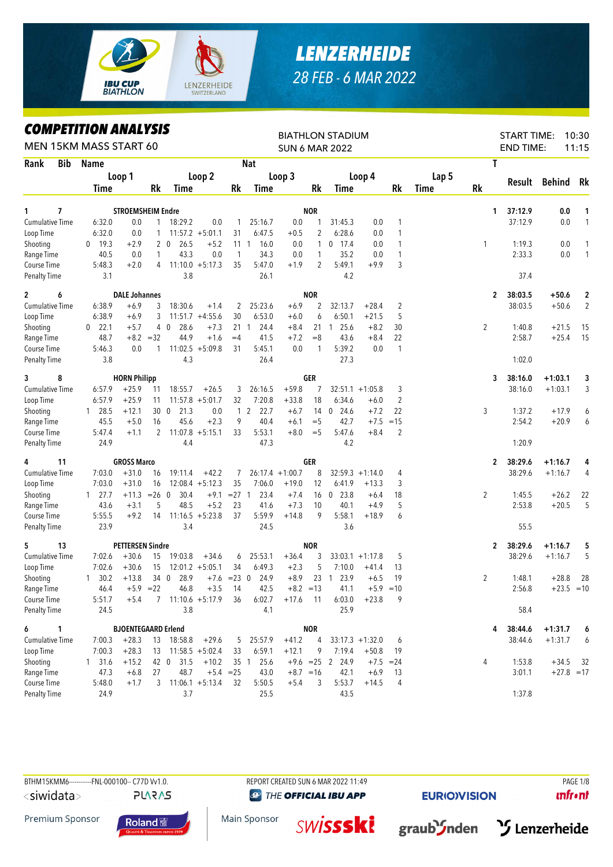

## *LENZERHEIDE 28 FEB - 6 MAR 2022*

## *COMPETITION ANALYSIS*

|                        | <i><b>COMPEILION ANALYSIS</b></i><br>MEN 15KM MASS START 60 |                            |              |                            |                    |                |                  |                   |                | <b>BIATHLON STADIUM</b><br><b>SUN 6 MAR 2022</b> |                    |                |             |              | <b>START TIME:</b><br><b>END TIME:</b> |               | 10:30<br>11:15 |
|------------------------|-------------------------------------------------------------|----------------------------|--------------|----------------------------|--------------------|----------------|------------------|-------------------|----------------|--------------------------------------------------|--------------------|----------------|-------------|--------------|----------------------------------------|---------------|----------------|
| Rank<br>Bib            | Name                                                        |                            |              |                            |                    |                | Nat              |                   |                |                                                  |                    |                |             | T            |                                        |               |                |
|                        |                                                             | Loop 1                     |              |                            | Loop 2             |                |                  | Loop 3            |                |                                                  | Loop 4             |                | Lap 5       |              |                                        |               |                |
|                        | Time                                                        |                            | Rk           | <b>Time</b>                |                    | Rk             | Time             |                   | Rk             | Time                                             |                    | Rk             | <b>Time</b> | <b>Rk</b>    |                                        | Result Behind | Rk             |
| 7<br>1                 |                                                             | <b>STROEMSHEIM Endre</b>   |              |                            |                    |                |                  |                   | <b>NOR</b>     |                                                  |                    |                |             |              | 37:12.9<br>1.                          | 0.0           | 1              |
| <b>Cumulative Time</b> | 6:32.0                                                      | 0.0                        | $\mathbf{1}$ | 18:29.2                    | 0.0                | 1              | 25:16.7          | 0.0               | $\overline{1}$ | 31:45.3                                          | 0.0                | 1              |             |              | 37:12.9                                | 0.0           | 1              |
| Loop Time              | 6:32.0                                                      | 0.0                        | $\mathbf{1}$ |                            | $11:57.2 + 5:01.1$ | 31             | 6:47.5           | $+0.5$            | 2              | 6:28.6                                           | 0.0                | 1              |             |              |                                        |               |                |
| Shooting               | 19.3<br>$\bf{0}$                                            | $+2.9$                     |              | 20<br>26.5                 | $+5.2$             | $11 \quad 1$   | 16.0             | 0.0               | $\mathbf{1}$   | $0$ 17.4                                         | 0.0                | 1              |             | $\mathbf{1}$ | 1:19.3                                 | 0.0           | 1              |
| Range Time             | 40.5                                                        | 0.0                        | 1            | 43.3                       | 0.0                | 1              | 34.3             | 0.0               | 1              | 35.2                                             | 0.0                | 1              |             |              | 2:33.3                                 | 0.0           | $\mathbf{1}$   |
| Course Time            | 5:48.3                                                      | $+2.0$                     | 4            |                            | $11:10.0 + 5:17.3$ | 35             | 5:47.0           | $+1.9$            | 2              | 5:49.1                                           | $+9.9$             | 3              |             |              |                                        |               |                |
| <b>Penalty Time</b>    | 3.1                                                         |                            |              | 3.8                        |                    |                | 26.1             |                   |                | 4.2                                              |                    |                |             |              | 37.4                                   |               |                |
| 6<br>$\mathbf{2}$      |                                                             | <b>DALE Johannes</b>       |              |                            |                    |                |                  |                   | <b>NOR</b>     |                                                  |                    |                |             |              | 38:03.5<br>$\mathbf{2}$                | $+50.6$       | $\mathbf 2$    |
| <b>Cumulative Time</b> | 6:38.9                                                      | $+6.9$                     | 3            | 18:30.6                    | $+1.4$             | 2              | 25:23.6          | $+6.9$            | 2              | 32:13.7                                          | $+28.4$            | $\overline{2}$ |             |              | 38:03.5                                | $+50.6$       | $\overline{2}$ |
| Loop Time              | 6:38.9                                                      | $+6.9$                     | 3            |                            | $11:51.7 + 4:55.6$ | 30             | 6:53.0           | $+6.0$            | 6              | 6:50.1                                           | $+21.5$            | 5              |             |              |                                        |               |                |
| Shooting               | $0$ 22.1                                                    | $+5.7$                     |              | 4 0<br>28.6                | $+7.3$             |                | $21 \t1$<br>24.4 | $+8.4$            |                | 25.6<br>21 1                                     | $+8.2$             | 30             |             | 2            | 1:40.8                                 | $+21.5$       | 15             |
| Range Time             | 48.7                                                        |                            | $+8.2 = 32$  | 44.9                       | $+1.6$             | $=4$           | 41.5             | $+7.2$            | $=8$           | 43.6                                             | $+8.4$             | 22             |             |              | 2:58.7                                 | $+25.4$       | 15             |
| Course Time            | 5:46.3                                                      | 0.0                        | $\mathbf{1}$ |                            | $11:02.5 + 5:09.8$ | 31             | 5:45.1           | 0.0               | $\mathbf{1}$   | 5:39.2                                           | 0.0                | $\mathbf{1}$   |             |              |                                        |               |                |
| <b>Penalty Time</b>    | 3.8                                                         |                            |              | 4.3                        |                    |                | 26.4             |                   |                | 27.3                                             |                    |                |             |              | 1:02.0                                 |               |                |
| 8<br>3                 |                                                             | <b>HORN Philipp</b>        |              |                            |                    |                |                  |                   | <b>GER</b>     |                                                  |                    |                |             | 3            | 38:16.0                                | $+1:03.1$     | 3              |
| <b>Cumulative Time</b> | 6:57.9                                                      | $+25.9$                    | 11           | 18:55.7                    | $+26.5$            | 3              | 26:16.5          | $+59.8$           | 7              |                                                  | $32:51.1 + 1:05.8$ | 3              |             |              | 38:16.0                                | $+1:03.1$     | 3              |
| Loop Time              | 6:57.9                                                      | $+25.9$                    | 11           |                            | $11:57.8 + 5:01.7$ | 32             | 7:20.8           | $+33.8$           | 18             | 6:34.6                                           | $+6.0$             | 2              |             |              |                                        |               |                |
| Shooting               | 28.5<br>$\mathbf{1}$                                        | $+12.1$                    |              | 300<br>21.3                | 0.0                | $\mathbf{1}$   | 2<br>22.7        | $+6.7$            | 14             | 24.6<br>$\mathbf 0$                              | $+7.2$             | 22             |             | 3            | 1:37.2                                 | $+17.9$       | 6              |
| Range Time             | 45.5                                                        | $+5.0$                     | 16           | 45.6                       | $+2.3$             | 9              | 40.4             | $+6.1$            | $=$ 5          | 42.7                                             | $+7.5$             | $=15$          |             |              | 2:54.2                                 | $+20.9$       | 6              |
| Course Time            | 5:47.4                                                      | $+1.1$                     |              | $2 \quad 11:07.8 + 5:15.1$ |                    | 33             | 5:53.1           | $+8.0$            | $=$ 5          | 5:47.6                                           | $+8.4$             | 2              |             |              |                                        |               |                |
| <b>Penalty Time</b>    | 24.9                                                        |                            |              | 4.4                        |                    |                | 47.3             |                   |                | 4.2                                              |                    |                |             |              | 1:20.9                                 |               |                |
| 11<br>4                |                                                             | <b>GROSS Marco</b>         |              |                            |                    |                |                  |                   | <b>GER</b>     |                                                  |                    |                |             |              | 38:29.6<br>2                           | $+1:16.7$     | 4              |
| <b>Cumulative Time</b> | 7:03.0                                                      | $+31.0$                    | 16           | 19:11.4                    | $+42.2$            | 7              |                  | $26:17.4 +1:00.7$ | 8              |                                                  | $32:59.3 +1:14.0$  | 4              |             |              | 38:29.6                                | $+1:16.7$     | 4              |
| Loop Time              | 7:03.0                                                      | $+31.0$                    | 16           |                            | $12:08.4 + 5:12.3$ | 35             | 7:06.0           | $+19.0$           | 12             | 6:41.9                                           | $+13.3$            | 3              |             |              |                                        |               |                |
| Shooting               | $1 \t27.7$                                                  | +11.3                      | $= 26 \ 0$   | 30.4                       | $+9.1$             | $= 27$ 1       | 23.4             | $+7.4$            |                | 16 0 23.8                                        | $+6.4$             | 18             |             | 2            | 1:45.5                                 | $+26.2$       | 22             |
| Range Time             | 43.6                                                        | $+3.1$                     | 5            | 48.5                       | $+5.2$             | 23             | 41.6             | $+7.3$            | 10             | 40.1                                             | $+4.9$             | 5              |             |              | 2:53.8                                 | $+20.5$       | 5              |
| Course Time            | 5:55.5                                                      | $+9.2$                     | 14           |                            | $11:16.5 + 5:23.8$ | 37             | 5:59.9           | $+14.8$           | 9              | 5:58.1                                           | $+18.9$            | 6              |             |              |                                        |               |                |
| <b>Penalty Time</b>    | 23.9                                                        |                            |              | 3.4                        |                    |                | 24.5             |                   |                | 3.6                                              |                    |                |             |              | 55.5                                   |               |                |
| 5<br>13                |                                                             | <b>PETTERSEN Sindre</b>    |              |                            |                    |                |                  |                   | <b>NOR</b>     |                                                  |                    |                |             |              | 38:29.6<br>2                           | $+1:16.7$     | 5              |
| <b>Cumulative Time</b> | 7:02.6                                                      | $+30.6$                    | 15           | 19:03.8                    | $+34.6$            | 6              | 25:53.1          | $+36.4$           | 3              |                                                  | $33:03.1 + 1:17.8$ | 5              |             |              | 38:29.6                                | $+1:16.7$     | 5              |
| Loop Time              | 7:02.6                                                      | $+30.6$                    | 15           |                            | $12:01.2 + 5:05.1$ | 34             | 6:49.3           | $+2.3$            | 5              | 7:10.0                                           | $+41.4$            | 13             |             |              |                                        |               |                |
| Shooting               | 30.2<br>$\mathbf{1}$                                        | $+13.8$                    |              | 28.9<br>34 0               |                    | $+7.6$ =23 0   | 24.9             | $+8.9$            | 23             | 23.9<br>$\overline{1}$                           | $+6.5$             | 19             |             | 2            | 1:48.1                                 | $+28.8$       | 28             |
| Range Time             | 46.4                                                        | $+5.9$ =22                 |              | 46.8                       | $+3.5$             | - 14           | 42.5             |                   | $+8.2 = 13$    | 41.1                                             |                    | $+5.9 = 10$    |             |              | 2:56.8                                 | $+23.5 = 10$  |                |
| Course Time            | 5:51.7                                                      | $+5.4$                     |              | $7$ 11:10.6 +5:17.9        |                    | 36             | 6:02.7           | $+17.6$           | -11            | 6:03.0                                           | $+23.8$            | 9              |             |              |                                        |               |                |
| Penalty Time           | 24.5                                                        |                            |              | 3.8                        |                    |                | 4.1              |                   |                | 25.9                                             |                    |                |             |              | 58.4                                   |               |                |
| 6<br>$\mathbf{1}$      |                                                             | <b>BJOENTEGAARD Erlend</b> |              |                            |                    |                |                  |                   | <b>NOR</b>     |                                                  |                    |                |             |              | 38:44.6                                | $+1:31.7$     | 6              |
| <b>Cumulative Time</b> | 7:00.3                                                      | $+28.3$                    |              | 13 18:58.8                 | $+29.6$            | 5 <sup>5</sup> | 25:57.9          | $+41.2$           | 4              |                                                  | $33:17.3 +1:32.0$  | 6              |             |              | 38:44.6                                | $+1:31.7$     | 6              |
| Loop Time              | 7:00.3                                                      | $+28.3$                    | 13           |                            | $11:58.5 + 5:02.4$ | 33             | 6:59.1           | $+12.1$           | 9              | 7:19.4                                           | $+50.8$            | 19             |             |              |                                        |               |                |
| Shooting               | 131.6                                                       | $+15.2$                    |              | 42 0 31.5                  | $+10.2$            |                | 35 1 25.6        |                   |                | $+9.6$ = 25 2 24.9                               |                    | $+7.5 = 24$    |             | 4            | 1:53.8                                 | $+34.5$       | 32             |
| Range Time             | 47.3                                                        | $+6.8$                     | 27           | 48.7                       |                    | $+5.4$ = 25    | 43.0             | $+8.7 = 16$       |                | 42.1                                             | $+6.9$             | 13             |             |              | 3:01.1                                 |               | $+27.8 = 17$   |
| Course Time            | 5:48.0                                                      | $+1.7$                     | 3            |                            | $11:06.1 + 5:13.4$ | 32             | 5:50.5           | $+5.4$            | 3              | 5:53.7                                           | $+14.5$            | 4              |             |              |                                        |               |                |
| <b>Penalty Time</b>    | 24.9                                                        |                            |              | 3.7                        |                    |                | 25.5             |                   |                | 43.5                                             |                    |                |             |              | 1:37.8                                 |               |                |

<siwidata>

**PLARAS** 

BTHM15KMM6-----------FNL-000100-- C77D Vv1.0. REPORT CREATED SUN 6 MAR 2022 11:49 PAGE 1/8 **@** THE OFFICIAL IBU APP

**EURIO)VISION** 

**unfront** 

Premium Sponsor



Main Sponsor **SWISSSKi** 

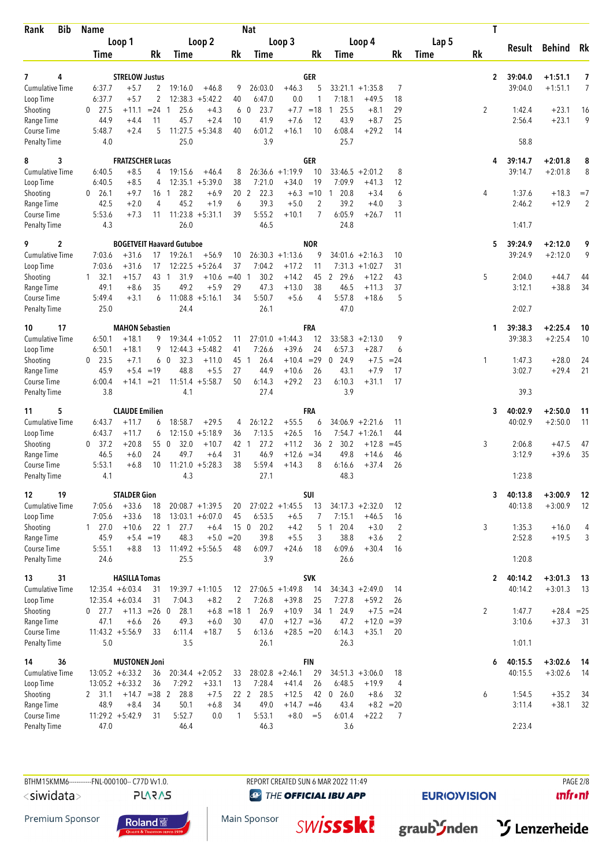| Rank<br><b>Bib</b>                  | <b>Name</b>                   |                                   |              |                                  |                               |                 | <b>Nat</b>           |                              |                  |                        |                                       |                      |       | T              |                    |                        |                |
|-------------------------------------|-------------------------------|-----------------------------------|--------------|----------------------------------|-------------------------------|-----------------|----------------------|------------------------------|------------------|------------------------|---------------------------------------|----------------------|-------|----------------|--------------------|------------------------|----------------|
|                                     |                               | Loop 1                            |              |                                  | Loop 2                        |                 |                      | Loop 3                       |                  |                        | Loop 4                                |                      | Lap 5 |                |                    | Result Behind          | Rk             |
|                                     | Time                          |                                   | Rk           | Time                             |                               | Rk              | Time                 |                              | Rk               | Time                   |                                       | Rk                   | Time  | <b>Rk</b>      |                    |                        |                |
| 4<br>7                              |                               | <b>STRELOW Justus</b>             |              |                                  |                               |                 |                      |                              | <b>GER</b>       |                        |                                       |                      |       | $\mathbf{2}$   | 39:04.0            | $+1:51.1$              | 7              |
| Cumulative Time                     | 6:37.7                        | $+5.7$                            | $\mathbf{2}$ | 19:16.0                          | $+46.8$                       | 9               | 26:03.0              | $+46.3$                      | 5                |                        | $33:21.1 + 1:35.8$                    | 7                    |       |                | 39:04.0            | $+1:51.1$              | 7              |
| Loop Time                           | 6:37.7                        | $+5.7$                            | 2            |                                  | $12:38.3 + 5:42.2$            | 40              | 6:47.0               | 0.0                          | 1                | 7:18.1                 | $+49.5$                               | 18                   |       |                |                    |                        |                |
| Shooting                            | 27.5<br>0                     | $+11.1$                           | $= 24$ 1     | 25.6                             | $+4.3$                        |                 | 23.7<br>6 0          | $+7.7$                       | $=18$            | 25.5<br>1              | $+8.1$                                | 29                   |       | $\overline{2}$ | 1:42.4             | $+23.1$                | 16             |
| Range Time                          | 44.9                          | $+4.4$                            | 11           | 45.7                             | $+2.4$                        | 10              | 41.9                 | $+7.6$                       | 12               | 43.9                   | $+8.7$                                | 25                   |       |                | 2:56.4             | $+23.1$                | 9              |
| Course Time<br><b>Penalty Time</b>  | 5:48.7<br>4.0                 | $+2.4$                            | 5            | 25.0                             | $11:27.5 + 5:34.8$            | 40              | 6:01.2<br>3.9        | $+16.1$                      | 10               | 6:08.4<br>25.7         | $+29.2$                               | 14                   |       |                | 58.8               |                        |                |
|                                     |                               |                                   |              |                                  |                               |                 |                      |                              |                  |                        |                                       |                      |       |                |                    |                        |                |
| 3<br>8<br><b>Cumulative Time</b>    | 6:40.5                        | <b>FRATZSCHER Lucas</b><br>$+8.5$ | 4            | 19:15.6                          | $+46.4$                       | 8               |                      | $26:36.6 +1:19.9$            | <b>GER</b><br>10 | 33:46.5                | $+2:01.2$                             | 8                    |       | 4              | 39:14.7<br>39:14.7 | $+2:01.8$<br>$+2:01.8$ | 8<br>8         |
| Loop Time                           | 6:40.5                        | $+8.5$                            | 4            |                                  | $12:35.1 + 5:39.0$            | 38              | 7:21.0               | $+34.0$                      | 19               | 7:09.9                 | $+41.3$                               | 12                   |       |                |                    |                        |                |
| Shooting                            | 26.1<br>$\mathbf{0}$          | $+9.7$                            | 16 1         | 28.2                             | $+6.9$                        | 20 <sub>2</sub> | 22.3                 | $+6.3$                       | $=10$            | 20.8<br>-1             | $+3.4$                                | 6                    |       | 4              | 1:37.6             | $+18.3$                | $=7$           |
| Range Time                          | 42.5                          | $+2.0$                            | 4            | 45.2                             | $+1.9$                        | 6               | 39.3                 | $+5.0$                       | 2                | 39.2                   | $+4.0$                                | 3                    |       |                | 2:46.2             | $+12.9$                | $\overline{2}$ |
| Course Time                         | 5:53.6                        | $+7.3$                            | 11           | $11:23.8 + 5:31.1$               |                               | 39              | 5:55.2               | $+10.1$                      | 7                | 6:05.9                 | $+26.7$                               | 11                   |       |                |                    |                        |                |
| <b>Penalty Time</b>                 | 4.3                           |                                   |              | 26.0                             |                               |                 | 46.5                 |                              |                  | 24.8                   |                                       |                      |       |                | 1:41.7             |                        |                |
| 2<br>9                              |                               |                                   |              | <b>BOGETVEIT Haavard Gutuboe</b> |                               |                 |                      |                              | <b>NOR</b>       |                        |                                       |                      |       | 5              | 39:24.9            | $+2:12.0$              | 9              |
| <b>Cumulative Time</b><br>Loop Time | 7:03.6<br>7:03.6              | $+31.6$<br>$+31.6$                | 17<br>17     | 19:26.1                          | $+56.9$<br>$12:22.5 + 5:26.4$ | 10<br>37        | 7:04.2               | $26:30.3 +1:13.6$<br>$+17.2$ | 9<br>11          |                        | $34:01.6 +2:16.3$<br>$7:31.3 +1:02.7$ | 10<br>31             |       |                | 39:24.9            | $+2:12.0$              | 9              |
| Shooting                            | 32.1<br>$\mathbf{1}$          | $+15.7$                           | 43 1         | 31.9                             | $+10.6 = 40$ 1                |                 | 30.2                 | $+14.2$                      | 45               | $\overline{2}$<br>29.6 | $+12.2$                               | 43                   |       | 5              | 2:04.0             | $+44.7$                | 44             |
| Range Time                          | 49.1                          | $+8.6$                            | 35           | 49.2                             | $+5.9$                        | 29              | 47.3                 | $+13.0$                      | 38               | 46.5                   | $+11.3$                               | 37                   |       |                | 3:12.1             | $+38.8$                | 34             |
| Course Time                         | 5:49.4                        | $+3.1$                            | 6            |                                  | $11:08.8 + 5:16.1$            | 34              | 5:50.7               | $+5.6$                       | 4                | 5:57.8                 | $+18.6$                               | 5                    |       |                |                    |                        |                |
| <b>Penalty Time</b>                 | 25.0                          |                                   |              | 24.4                             |                               |                 | 26.1                 |                              |                  | 47.0                   |                                       |                      |       |                | 2:02.7             |                        |                |
| 17<br>10                            |                               | <b>MAHON Sebastien</b>            |              |                                  |                               |                 |                      |                              | FRA              |                        |                                       |                      |       | 1              | 39:38.3            | $+2:25.4$              | 10             |
| Cumulative Time                     | 6:50.1                        | $+18.1$                           | 9            |                                  | $19:34.4 +1:05.2$             | 11              |                      | $27:01.0 +1:44.3$            | 12               |                        | $33:58.3 + 2:13.0$                    | 9                    |       |                | 39:38.3            | $+2:25.4$              | 10             |
| Loop Time                           | 6:50.1                        | $+18.1$                           | 9            |                                  | $12:44.3 + 5:48.2$            | 41              | 7:26.6               | $+39.6$                      | 24               | 6:57.3                 | $+28.7$                               | 6                    |       |                |                    |                        |                |
| Shooting<br>Range Time              | $0$ 23.5<br>45.9              | $+7.1$<br>$+5.4 = 19$             |              | 60<br>32.3<br>48.8               | $+11.0$<br>$+5.5$             | 27              | 26.4<br>45 1<br>44.9 | $+10.4$<br>$+10.6$           | $=29$<br>26      | 0, 24.9<br>43.1        | $+7.5$<br>$+7.9$                      | $= 24$<br>17         |       | 1              | 1:47.3<br>3:02.7   | $+28.0$<br>$+29.4$     | 24<br>21       |
| Course Time                         | 6:00.4                        |                                   |              | $+14.1$ = 21 11:51.4 + 5:58.7    |                               | 50              | 6:14.3               | $+29.2$                      | 23               | 6:10.3                 | $+31.1$                               | 17                   |       |                |                    |                        |                |
| <b>Penalty Time</b>                 | 3.8                           |                                   |              | 4.1                              |                               |                 | 27.4                 |                              |                  | 3.9                    |                                       |                      |       |                | 39.3               |                        |                |
| 5<br>11                             |                               | <b>CLAUDE Emilien</b>             |              |                                  |                               |                 |                      |                              | FRA              |                        |                                       |                      |       | 3              | 40:02.9            | $+2:50.0$              | 11             |
| <b>Cumulative Time</b>              | 6:43.7                        | $+11.7$                           | 6            | 18:58.7                          | $+29.5$                       | 4               | 26:12.2              | $+55.5$                      | 6                |                        | $34:06.9 + 2:21.6$                    | 11                   |       |                | 40:02.9            | $+2:50.0$              | 11             |
| Loop Time                           | 6:43.7                        | $+11.7$                           | 6            |                                  | $12:15.0 + 5:18.9$            | 36              | 7:13.5               | $+26.5$                      | 16               |                        | $7:54.7 +1:26.1$                      | 44                   |       |                |                    |                        |                |
| Shooting                            | $0$ 37.2                      | $+20.8$                           | 55 0         | 32.0                             | $+10.7$                       | 42 1            | 27.2                 | $+11.2$                      | 36               | 2<br>30.2              | $+12.8$                               | $=45$                |       | 3              | 2:06.8             | $+47.5$                | 47             |
| Range Time<br>Course Time           | 46.5<br>5:53.1                | $+6.0$<br>$+6.8$                  | 24<br>10     | 49.7<br>11:21.0                  | $+6.4$<br>$+5:28.3$           | 31<br>38        | 46.9<br>5:59.4       | $+12.6$<br>$+14.3$           | $=34$<br>8       | 49.8<br>6:16.6         | $+14.6$<br>$+37.4$                    | 46<br>26             |       |                | 3:12.9             | $+39.6$                | 35             |
| <b>Penalty Time</b>                 | 4.1                           |                                   |              | 4.3                              |                               |                 | 27.1                 |                              |                  | 48.3                   |                                       |                      |       |                | 1:23.8             |                        |                |
|                                     |                               |                                   |              |                                  |                               |                 |                      |                              | SUI              |                        |                                       |                      |       |                | 40:13.8            |                        |                |
| 12<br>19<br><b>Cumulative Time</b>  | 7:05.6                        | <b>STALDER Gion</b><br>$+33.6$    | 18           |                                  | $20:08.7 +1:39.5$             | 20              |                      | $27:02.2 +1:45.5$            | 13               |                        | $34:17.3 + 2:32.0$                    | 12                   |       | 3              | 40:13.8            | $+3:00.9$<br>$+3:00.9$ | 12<br>12       |
| Loop Time                           | 7:05.6                        | $+33.6$                           | 18           |                                  | $13:03.1 + 6:07.0$            | 45              | 6:53.5               | $+6.5$                       | 7                | 7:15.1                 | $+46.5$                               | 16                   |       |                |                    |                        |                |
| Shooting                            | 127.0                         | $+10.6$                           |              | 22 1 27.7                        | $+6.4$                        |                 | 20.2<br>15 0         | $+4.2$                       |                  | 5 1 20.4               | $+3.0$                                | $\overline{c}$       |       | 3              | 1:35.3             | $+16.0$                | 4              |
| Range Time                          | 45.9                          | $+5.4 = 19$                       |              | 48.3                             | $+5.0$                        | $=20$           | 39.8                 | $+5.5$                       | 3                | 38.8                   | $+3.6$                                | $\overline{2}$       |       |                | 2:52.8             | $+19.5$                | 3              |
| Course Time<br><b>Penalty Time</b>  | 5:55.1<br>24.6                | $+8.8$                            | 13           | 25.5                             | $11:49.2 + 5:56.5$            | 48              | 6:09.7<br>3.9        | $+24.6$                      | 18               | 6:09.6<br>26.6         | $+30.4$                               | 16                   |       |                | 1:20.8             |                        |                |
|                                     |                               |                                   |              |                                  |                               |                 |                      |                              |                  |                        |                                       |                      |       |                |                    |                        |                |
| 31<br>13<br>Cumulative Time         | $12:35.4 + 6:03.4$            | <b>HASILLA Tomas</b>              | 31           |                                  | $19:39.7 +1:10.5$             | 12              |                      | $27:06.5 +1:49.8$            | <b>SVK</b><br>14 |                        | $34:34.3 + 2:49.0$                    | 14                   |       | $\mathbf{2}$   | 40:14.2<br>40:14.2 | $+3:01.3$<br>$+3:01.3$ | 13<br>13       |
| Loop Time                           | $12:35.4 + 6:03.4$            |                                   | 31           | 7:04.3                           | $+8.2$                        | $\overline{2}$  | 7:26.8               | $+39.8$                      | 25               | 7:27.8                 | $+59.2$                               | 26                   |       |                |                    |                        |                |
| Shooting                            | $0$ 27.7                      | $+11.3 = 26$ 0                    |              | 28.1                             |                               | $+6.8$ = 18 1   | 26.9                 | $+10.9$                      | 34               | 24.9<br>$\overline{1}$ | $+7.5 = 24$                           |                      |       | $\overline{2}$ | 1:47.7             | $+28.4 = 25$           |                |
| Range Time                          | 47.1                          | $+6.6$                            | 26           | 49.3                             | $+6.0$                        | 30              | 47.0                 | $+12.7 = 36$                 |                  | 47.2                   | $+12.0$                               | $=39$                |       |                | 3:10.6             | $+37.3$                | - 31           |
| Course Time                         | $11:43.2 + 5:56.9$            |                                   | 33           | 6:11.4                           | $+18.7$                       | 5               | 6:13.6               | $+28.5 = 20$                 |                  | 6:14.3                 | $+35.1$                               | 20                   |       |                |                    |                        |                |
| Penalty Time                        | 5.0                           |                                   |              | 3.5                              |                               |                 | 26.1                 |                              |                  | 26.3                   |                                       |                      |       |                | 1:01.1             |                        |                |
| 36<br>14                            |                               | <b>MUSTONEN Joni</b>              |              |                                  |                               |                 |                      |                              | <b>FIN</b>       |                        |                                       |                      |       | 6              | 40:15.5            | $+3:02.6$              | 14             |
| <b>Cumulative Time</b>              | $13:05.2 + 6:33.2$            |                                   | 36<br>36     |                                  | $20:34.4 +2:05.2$             | 33              | 7:28.4               | $28:02.8 +2:46.1$            | 29<br>26         | 6:48.5                 | $34:51.3 +3:06.0$                     | 18                   |       |                | 40:15.5            | $+3:02.6$              | 14             |
| Loop Time<br>Shooting               | $13:05.2 + 6:33.2$<br>2, 31.1 | $+14.7$ = 38 2                    |              | 7:29.2<br>28.8                   | $+33.1$<br>$+7.5$             | 13              | 22 2 28.5            | $+41.4$<br>$+12.5$           | 42               | 0.26.0                 | $+19.9$<br>$+8.6$                     | $\overline{4}$<br>32 |       | 6              | 1:54.5             | $+35.2$                | 34             |
| Range Time                          | 48.9                          | $+8.4$                            | 34           | 50.1                             | $+6.8$                        | 34              | 49.0                 | $+14.7$                      | $=46$            | 43.4                   | $+8.2$                                | $=20$                |       |                | 3:11.4             | $+38.1$                | 32             |
| Course Time                         | $11:29.2 + 5:42.9$            |                                   | 31           | 5:52.7                           | 0.0                           | $\mathbf{1}$    | 5:53.1               | $+8.0$                       | $=$ 5            | 6:01.4                 | $+22.2$                               | 7                    |       |                |                    |                        |                |
| <b>Penalty Time</b>                 | 47.0                          |                                   |              | 46.4                             |                               |                 | 46.3                 |                              |                  | 3.6                    |                                       |                      |       |                | 2:23.4             |                        |                |

**PLARAS** 

**@** THE OFFICIAL IBU APP

**EURIO)VISION** 

 $unfront$ 

Premium Sponsor



Main Sponsor **SWİSSSKİ** 



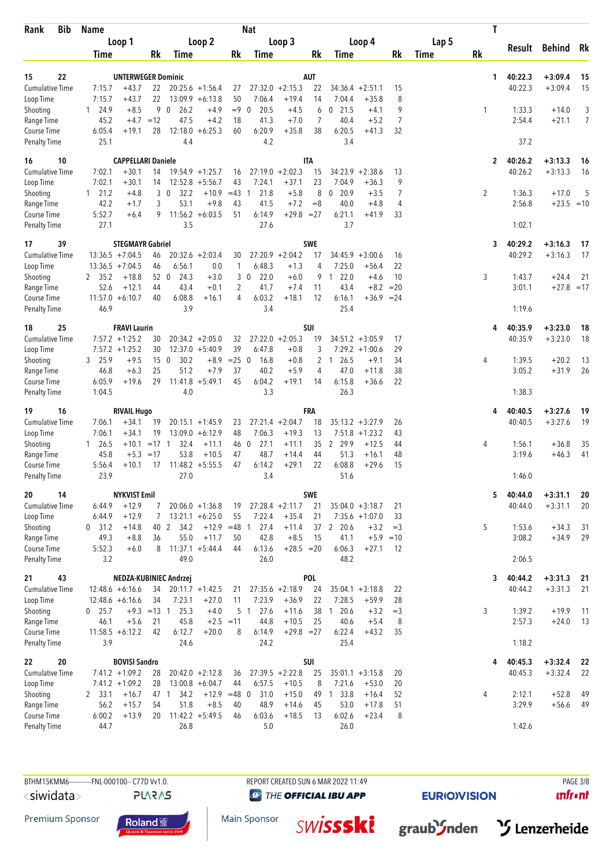| <b>Bib</b><br>Rank                  | <b>Name</b>                              |                                      |                       |                        |                                          |                  | <b>Nat</b>             |                              |               |                              |                              |             |       | T            |                  |                    |                |
|-------------------------------------|------------------------------------------|--------------------------------------|-----------------------|------------------------|------------------------------------------|------------------|------------------------|------------------------------|---------------|------------------------------|------------------------------|-------------|-------|--------------|------------------|--------------------|----------------|
|                                     |                                          | Loop 1                               |                       |                        | Loop 2                                   |                  |                        | Loop 3                       |               |                              | Loop 4                       |             | Lap 5 |              | Result           | <b>Behind</b>      | Rk             |
|                                     | Time                                     |                                      | Rk                    | Time                   |                                          | Rk               | Time                   |                              | Rk            | Time                         |                              | Rk          | Time  | <b>Rk</b>    |                  |                    |                |
| 22<br>15                            |                                          | <b>UNTERWEGER Dominic</b>            |                       |                        |                                          |                  |                        |                              | AUT           |                              |                              |             |       | $\mathbf{1}$ | 40:22.3          | $+3:09.4$          | 15             |
| <b>Cumulative Time</b>              | 7:15.7                                   | $+43.7$                              | 22                    |                        | $20:25.6 +1:56.4$                        | 27               |                        | $27:32.0 +2:15.3$            | 22            | $34:36.4 +2:51.1$            |                              | 15          |       |              | 40:22.3          | $+3:09.4$          | 15             |
| Loop Time                           | 7:15.7                                   | $+43.7$                              | 22                    |                        | $13:09.9 + 6:13.8$                       | 50               | 7:06.4                 | $+19.4$                      | 14            | 7:04.4                       | $+35.8$                      | 8           |       |              |                  |                    |                |
| Shooting                            | $1 \quad 24.9$                           | $+8.5$                               | 9                     | $\overline{0}$<br>26.2 | $+4.9$                                   | $=9$             | 20.5<br>$\mathbf 0$    | $+4.5$                       | 6             | 21.5<br>0                    | $+4.1$                       | 9           |       | 1            | 1:33.3           | $+14.0$            | 3              |
| Range Time                          | 45.2                                     | $+4.7 = 12$                          |                       | 47.5                   | $+4.2$                                   | 18               | 41.3                   | $+7.0$                       | 7             | 40.4                         | $+5.2$                       | 7           |       |              | 2:54.4           | $+21.1$            | $\overline{7}$ |
| Course Time<br><b>Penalty Time</b>  | 6:05.4<br>25.1                           | $+19.1$                              | 28                    | 12:18.0<br>4.4         | $+6:25.3$                                | 60               | 6:20.9<br>4.2          | $+35.8$                      | 38            | 6:20.5<br>3.4                | $+41.3$                      | 32          |       |              | 37.2             |                    |                |
| 10<br>16                            |                                          | <b>CAPPELLARI Daniele</b>            |                       |                        |                                          |                  |                        |                              | <b>ITA</b>    |                              |                              |             |       | $\mathbf{2}$ | 40:26.2          | $+3:13.3$          | 16             |
| <b>Cumulative Time</b>              | 7:02.1                                   | $+30.1$                              | 14                    |                        | $19:54.9 + 1:25.7$                       | 16               |                        | $27:19.0 + 2:02.3$           | 15            | 34:23.9                      | $+2:38.6$                    | 13          |       |              | 40:26.2          | $+3:13.3$          | 16             |
| Loop Time                           | 7:02.1                                   | $+30.1$                              | 14                    |                        | $12:52.8 + 5:56.7$                       | 43               | 7:24.1                 | $+37.1$                      | 23            | 7:04.9                       | $+36.3$                      | 9           |       |              |                  |                    |                |
| Shooting                            | 121.2                                    | $+4.8$                               |                       | 3 <sub>0</sub><br>32.2 | $+10.9$                                  | $=43$            | 21.8<br>$\mathbf{1}$   | $+5.8$                       | 8             | $0$ 20.9                     | $+3.5$                       | 7           |       | 2            | 1:36.3           | $+17.0$            | 5              |
| Range Time<br>Course Time           | 42.2<br>5:52.7                           | $+1.7$<br>$+6.4$                     | 3<br>9                | 53.1                   | $+9.8$<br>$11:56.2 + 6:03.5$             | 43<br>51         | 41.5<br>6:14.9         | $+7.2$<br>$+29.8$            | $=8$<br>$=27$ | 40.0<br>6:21.1               | $+4.8$<br>$+41.9$            | 4<br>33     |       |              | 2:56.8           | $+23.5 = 10$       |                |
| <b>Penalty Time</b>                 | 27.1                                     |                                      |                       | 3.5                    |                                          |                  | 27.6                   |                              |               | 3.7                          |                              |             |       |              | 1:02.1           |                    |                |
| 39<br>17                            |                                          | <b>STEGMAYR Gabriel</b>              |                       |                        |                                          |                  |                        |                              | <b>SWE</b>    |                              |                              |             |       | 3            | 40:29.2          | $+3:16.3$          | 17             |
| <b>Cumulative Time</b>              | $13:36.5 +7:04.5$                        |                                      | 46                    |                        | $20:32.6 + 2:03.4$                       | 30               |                        | $27:20.9 +2:04.2$            | 17            |                              | $34:45.9 + 3:00.6$           | 16          |       |              | 40:29.2          | $+3:16.3$          | 17             |
| Loop Time                           | $13:36.5 +7:04.5$                        |                                      | 46                    | 6:56.1                 | 0.0                                      | 1                | 6:48.3                 | $+1.3$                       | 4             | 7:25.0                       | $+56.4$                      | 22          |       |              |                  |                    |                |
| Shooting                            | 2 35.2                                   | $+18.8$                              | 52 0                  | 24.3                   | $+3.0$                                   |                  | 22.0<br>3 <sub>0</sub> | $+6.0$                       | 9             | 22.0<br>$\mathbf{1}$         | $+4.6$                       | 10          |       | 3            | 1:43.7           | $+24.4$            | 21             |
| Range Time<br>Course Time           | 52.6<br>$11:57.0 + 6:10.7$               | $+12.1$                              | 44<br>40              | 43.4<br>6:08.8         | $+0.1$<br>$+16.1$                        | 2<br>4           | 41.7<br>6:03.2         | $+7.4$<br>$+18.1$            | 11<br>12      | 43.4<br>6:16.1               | $+8.2$<br>$+36.9 = 24$       | $=20$       |       |              | 3:01.1           | $+27.8 = 17$       |                |
| Penalty Time                        | 46.9                                     |                                      |                       | 3.9                    |                                          |                  | 3.4                    |                              |               | 25.4                         |                              |             |       |              | 1:19.6           |                    |                |
| 25<br>18                            |                                          | <b>FRAVI Laurin</b>                  |                       |                        |                                          |                  |                        |                              | SUI           |                              |                              |             |       | 4            | 40:35.9          | $+3:23.0$          | 18             |
| <b>Cumulative Time</b>              |                                          | $7:57.2 + 1:25.2$                    | 30                    |                        | $20:34.2 + 2:05.0$                       | 32               |                        | $27:22.0 +2:05.3$            | 19            |                              | $34:51.2 + 3:05.9$           | 17          |       |              | 40:35.9          | $+3:23.0$          | 18             |
| Loop Time                           |                                          | $7:57.2 +1:25.2$                     | 30                    |                        | $12:37.0 + 5:40.9$                       | 39               | 6:47.8                 | $+0.8$                       | 3             |                              | $7:29.2 +1:00.6$             | 29          |       |              |                  |                    |                |
| Shooting<br>Range Time              | 3 25.9<br>46.8                           | $+9.5$<br>$+6.3$                     | 15 <sub>0</sub><br>25 | 30.2<br>51.2           | $+8.9$<br>$+7.9$                         | $= 25 \ 0$<br>37 | 16.8<br>40.2           | $+0.8$<br>$+5.9$             | 4             | 2 1 26.5<br>47.0             | $+9.1$<br>$+11.8$            | 34<br>38    |       | 4            | 1:39.5<br>3:05.2 | $+20.2$<br>$+31.9$ | 13<br>26       |
| Course Time                         | 6:05.9                                   | $+19.6$                              | 29                    |                        | $11:41.8 + 5:49.1$                       | 45               | 6:04.2                 | $+19.1$                      | 14            | 6:15.8                       | $+36.6$                      | 22          |       |              |                  |                    |                |
| <b>Penalty Time</b>                 | 1:04.5                                   |                                      |                       | 4.0                    |                                          |                  | 3.3                    |                              |               | 26.3                         |                              |             |       |              | 1:38.3           |                    |                |
| 16<br>19                            |                                          | <b>RIVAIL Hugo</b>                   |                       |                        |                                          |                  |                        |                              | <b>FRA</b>    |                              |                              |             |       |              | 40:40.5          | $+3:27.6$          | 19             |
| <b>Cumulative Time</b>              | 7:06.1                                   | $+34.1$                              | 19                    |                        | $20:15.1 + 1:45.9$                       | 23               |                        | $27:21.4 +2:04.7$            | 18            |                              | $35:13.2 + 3:27.9$           | 26          |       |              | 40:40.5          | $+3:27.6$          | 19             |
| Loop Time                           | 7:06.1<br>$1 \quad 26.5$                 | $+34.1$<br>$+10.1$                   | 19<br>$=17$ 1         | 32.4                   | $13:09.0 + 6:12.9$<br>$+11.1$            | 48<br>46 0       | 7:06.3<br>27.1         | $+19.3$<br>$+11.1$           | 13<br>35      | 2 29.9                       | $7:51.8 + 1:23.2$<br>$+12.5$ | 43<br>44    |       | 4            | 1:56.1           | $+36.8$            | 35             |
| Shooting<br>Range Time              | 45.8                                     | $+5.3 = 17$                          |                       | 53.8                   | $+10.5$                                  | 47               | 48.7                   | $+14.4$                      | 44            | 51.3                         | $+16.1$                      | 48          |       |              | 3:19.6           | $+46.3$            | 41             |
| Course Time                         | 5:56.4                                   | $+10.1$                              | 17                    |                        | $11:48.2 + 5:55.5$                       | 47               | 6:14.2                 | $+29.1$                      | 22            | 6:08.8                       | $+29.6$                      | 15          |       |              |                  |                    |                |
| <b>Penalty Time</b>                 | 23.9                                     |                                      |                       | 27.0                   |                                          |                  | 3.4                    |                              |               | 51.6                         |                              |             |       |              | 1:46.0           |                    |                |
| 14<br>20                            |                                          | <b>NYKVIST Emil</b>                  |                       |                        |                                          |                  |                        |                              | <b>SWE</b>    |                              |                              |             |       | 5            | 40:44.0          | $+3:31.1$          | 20             |
| <b>Cumulative Time</b><br>Loop Time | 6:44.9                                   | $+12.9$                              | 7                     |                        | $20:06.0 + 1:36.8$                       | 19               |                        | $27:28.4 +2:11.7$            | 21            | $35:04.0 + 3:18.7$           |                              | 21          |       |              | 40:44.0          | $+3:31.1$          | 20             |
| Shooting                            | 6:44.9<br>$0$ 31.2                       | $+12.9$<br>$+14.8$                   | 7<br>40 2             | 34.2                   | $13:21.1 + 6:25.0$<br>$+12.9$ =48 1      | 55               | 7:22.4<br>27.4         | $+35.4$<br>$+11.4$           | 21            | 37 2 20.6                    | $7:35.6 + 1:07.0$<br>$+3.2$  | 33<br>$=$ 3 |       | 5            | 1:53.6           | $+34.3$            | 31             |
| Range Time                          | 49.3                                     | $+8.8$                               | 36                    | 55.0                   | $+11.7$                                  | 50               | 42.8                   | $+8.5$                       | 15            | 41.1                         | $+5.9 = 10$                  |             |       |              | 3:08.2           | $+34.9$            | 29             |
| Course Time                         | 5:52.3                                   | $+6.0$                               | 8                     |                        | $11:37.1 + 5:44.4$                       | 44               | 6:13.6                 | $+28.5 = 20$                 |               | 6:06.3                       | $+27.1$                      | 12          |       |              |                  |                    |                |
| <b>Penalty Time</b>                 | 3.2                                      |                                      |                       | 49.0                   |                                          |                  | 26.0                   |                              |               | 48.2                         |                              |             |       |              | 2:06.5           |                    |                |
| 43<br>21                            |                                          |                                      |                       | NEDZA-KUBINIEC Andrzej |                                          |                  |                        |                              | <b>POL</b>    |                              |                              |             |       | 3            | 40:44.2          | $+3:31.3$          | 21             |
| <b>Cumulative Time</b><br>Loop Time | $12:48.6 + 6:16.6$<br>$12:48.6 + 6:16.6$ |                                      | 34<br>34              | 7:23.1                 | $20:11.7 + 1:42.5$<br>$+27.0$            | 21<br>11         | 7:23.9                 | $27:35.6 +2:18.9$<br>$+36.9$ | 24<br>22      | $35:04.1 + 3:18.8$<br>7:28.5 | $+59.9$                      | 22<br>28    |       |              | 40:44.2          | $+3:31.3$          | 21             |
| Shooting                            | $0$ 25.7                                 |                                      | $+9.3 = 13$ 1         | 25.3                   | $+4.0$                                   |                  | 5 <sub>1</sub><br>27.6 | $+11.6$                      | 38            | 20.6<br>$\overline{1}$       | $+3.2$                       | $=$ 3       |       | 3            | 1:39.2           | $+19.9$            | 11             |
| Range Time                          | 46.1                                     | $+5.6$                               | 21                    | 45.8                   | $+2.5 = 11$                              |                  | 44.8                   | $+10.5$                      | 25            | 40.6                         | $+5.4$                       | 8           |       |              | 2:57.3           | $+24.0$            | 13             |
| Course Time                         | $11:58.5 + 6:12.2$                       |                                      | 42                    | 6:12.7                 | $+20.0$                                  | 8                | 6:14.9                 | $+29.8 = 27$                 |               | 6:22.4                       | $+43.2$                      | 35          |       |              |                  |                    |                |
| <b>Penalty Time</b>                 | 3.9                                      |                                      |                       | 24.6                   |                                          |                  | 24.2                   |                              |               | 25.4                         |                              |             |       |              | 1:18.2           |                    |                |
| 20<br>22                            |                                          | <b>BOVISI Sandro</b>                 |                       |                        |                                          |                  |                        |                              | SUI           |                              |                              |             |       | 4            | 40:45.3          | $+3:32.4$          | 22             |
| <b>Cumulative Time</b><br>Loop Time |                                          | $7:41.2 +1:09.2$<br>$7:41.2 +1:09.2$ | 28<br>28              |                        | $20:42.0 + 2:12.8$<br>$13:00.8 + 6:04.7$ | 36<br>44         | 6:57.5                 | $27:39.5 +2:22.8$<br>$+10.5$ | 25<br>8       | $35:01.1 + 3:15.8$<br>7:21.6 | $+53.0$                      | 20<br>20    |       |              | 40:45.3          | $+3:32.4$          | 22             |
| Shooting                            | 2 33.1                                   | $+16.7$                              | 47 1                  | 34.2                   | $+12.9$                                  | $=48$ 0          | 31.0                   | $+15.0$                      | 49            | $1 \t33.8$                   | $+16.4$                      | 52          |       | 4            | 2:12.1           | $+52.8$            | 49             |
| Range Time                          | 56.2                                     | $+15.7$                              | 54                    | 51.8                   | $+8.5$                                   | 40               | 48.9                   | $+14.6$                      | 45            | 53.0                         | $+17.8$                      | 51          |       |              | 3:29.9           | $+56.6$            | 49             |
| Course Time                         | 6:00.2                                   | $+13.9$                              | 20                    |                        | $11:42.2 + 5:49.5$                       | 46               | 6:03.6                 | $+18.5$                      | 13            | 6:02.6                       | $+23.4$                      | 8           |       |              |                  |                    |                |
| Penalty Time                        | 44.7                                     |                                      |                       | 26.8                   |                                          |                  | 5.0                    |                              |               | 26.0                         |                              |             |       |              | 1:42.6           |                    |                |

**PLARAS** 

**@** THE OFFICIAL IBU APP

**EURIO)VISION** 

 $unfront$ 

Premium Sponsor



Main Sponsor **SWİSSSKİ** 



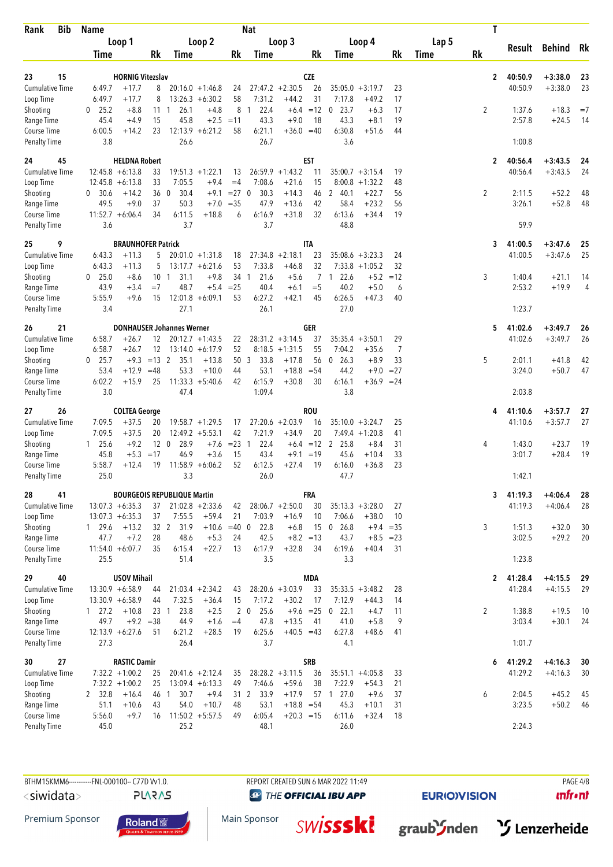| <b>Bib</b><br>Rank                  | <b>Name</b>                  |                                           |                                                          |                  | <b>Nat</b>                       |                                       |             |                                            |                        |          |       | T            |                    |                        |          |
|-------------------------------------|------------------------------|-------------------------------------------|----------------------------------------------------------|------------------|----------------------------------|---------------------------------------|-------------|--------------------------------------------|------------------------|----------|-------|--------------|--------------------|------------------------|----------|
|                                     | Loop 1                       |                                           | Loop 2                                                   |                  |                                  | Loop 3                                |             | Loop 4                                     |                        |          | Lap 5 |              |                    | Result Behind          | Rk       |
|                                     | Time                         | Rk                                        | Time                                                     | Rk               | Time                             |                                       | Rk          | Time                                       |                        | Rk       | Time  | <b>Rk</b>    |                    |                        |          |
| 23<br>15                            |                              | <b>HORNIG Vitezslav</b>                   |                                                          |                  |                                  |                                       | <b>CZE</b>  |                                            |                        |          |       | $\mathbf{2}$ | 40:50.9            | $+3:38.0$              | 23       |
| <b>Cumulative Time</b>              | 6:49.7                       | $+17.7$<br>8                              | $20:16.0 + 1:46.8$                                       | 24               |                                  | $27:47.2 +2:30.5$                     | 26          | $35:05.0 + 3:19.7$                         |                        | 23       |       |              | 40:50.9            | $+3:38.0$              | 23       |
| Loop Time                           | 6:49.7                       | 8<br>$+17.7$                              | $13:26.3 + 6:30.2$                                       | 58<br>8          | 7:31.2<br>22.4<br>$\overline{1}$ | $+44.2$                               | 31<br>$=12$ | 7:17.8<br>$0$ 23.7                         | $+49.2$                | 17       |       |              |                    |                        | $=7$     |
| Shooting<br>Range Time              | 25.2<br>0<br>45.4            | $+8.8$<br>111<br>15<br>$+4.9$             | 26.1<br>$+4.8$<br>45.8<br>$+2.5$                         | $=11$            | 43.3                             | $+6.4$<br>$+9.0$                      | 18          | 43.3                                       | $+6.3$<br>$+8.1$       | 17<br>19 |       | 2            | 1:37.6<br>2:57.8   | $+18.3$<br>$+24.5$     | 14       |
| Course Time                         | 6:00.5                       | $+14.2$<br>23                             | $12:13.9 + 6:21.2$                                       | 58               | 6:21.1                           | $+36.0 = 40$                          |             | 6:30.8                                     | $+51.6$                | 44       |       |              |                    |                        |          |
| <b>Penalty Time</b>                 | 3.8                          |                                           | 26.6                                                     |                  | 26.7                             |                                       |             | 3.6                                        |                        |          |       |              | 1:00.8             |                        |          |
| 45<br>24                            |                              | <b>HELDNA Robert</b>                      |                                                          |                  |                                  |                                       | <b>EST</b>  |                                            |                        |          |       | 2            | 40:56.4            | $+3:43.5$              | 24       |
| <b>Cumulative Time</b>              | $12:45.8 + 6:13.8$           | 33                                        | $19:51.3 +1:22.1$                                        | 13               | 26:59.9                          | $+1:43.2$                             | 11          | $35:00.7 + 3:15.4$                         |                        | 19       |       |              | 40:56.4            | $+3:43.5$              | 24       |
| Loop Time<br>Shooting               | $12:45.8 + 6:13.8$<br>0 30.6 | 33<br>$+14.2$<br>360                      | 7:05.5<br>$+9.4$<br>30.4<br>$+9.1$                       | $=4$<br>$= 27$ 0 | 7:08.6<br>30.3                   | $+21.6$<br>$+14.3$                    | 15<br>46    | 8:00.8<br>2 40.1                           | $+1:32.2$<br>$+22.7$   | 48<br>56 |       | 2            | 2:11.5             | $+52.2$                | 48       |
| Range Time                          | 49.5                         | 37<br>$+9.0$                              | 50.3<br>$+7.0$                                           | $= 35$           | 47.9                             | $+13.6$                               | 42          | 58.4                                       | $+23.2$                | 56       |       |              | 3:26.1             | $+52.8$                | 48       |
| Course Time                         | $11:52.7 + 6:06.4$           | 34                                        | 6:11.5<br>$+18.8$                                        | 6                | 6:16.9                           | $+31.8$                               | 32          | 6:13.6                                     | $+34.4$                | 19       |       |              |                    |                        |          |
| <b>Penalty Time</b>                 | 3.6                          |                                           | 3.7                                                      |                  | 3.7                              |                                       |             | 48.8                                       |                        |          |       |              | 59.9               |                        |          |
| 9<br>25                             |                              | <b>BRAUNHOFER Patrick</b>                 |                                                          |                  |                                  |                                       | <b>ITA</b>  |                                            |                        |          |       | 3            | 41:00.5            | $+3:47.6$              | 25       |
| <b>Cumulative Time</b>              | 6:43.3                       | $+11.3$<br>5                              | $20:01.0 + 1:31.8$                                       | 18<br>53         | 27:34.8                          | $+2:18.1$                             | 23<br>32    | $35:08.6 + 3:23.3$                         |                        | 24       |       |              | 41:00.5            | $+3:47.6$              | 25       |
| Loop Time<br>Shooting               | 6:43.3<br>0 25.0             | $+11.3$<br>5<br>$+8.6$<br>10 <sub>1</sub> | $13:17.7 + 6:21.6$<br>31.1<br>$+9.8$                     | 34 1             | 7:33.8<br>21.6                   | $+46.8$<br>$+5.6$                     |             | $7:33.8 +1:05.2$<br>22.6<br>7 <sub>1</sub> | $+5.2 = 12$            | 32       |       | 3            | 1:40.4             | $+21.1$                | 14       |
| Range Time                          | 43.9                         | $+3.4$<br>$=7$                            | 48.7<br>$+5.4$                                           | $= 25$           | 40.4                             | $+6.1$                                | $=$ 5       | 40.2                                       | $+5.0$                 | 6        |       |              | 2:53.2             | $+19.9$                | 4        |
| Course Time                         | 5:55.9                       | $+9.6$<br>15                              | $12:01.8 + 6:09.1$                                       | 53               | 6:27.2                           | $+42.1$                               | 45          | 6:26.5                                     | $+47.3$                | 40       |       |              |                    |                        |          |
| <b>Penalty Time</b>                 | 3.4                          |                                           | 27.1                                                     |                  | 26.1                             |                                       |             | 27.0                                       |                        |          |       |              | 1:23.7             |                        |          |
| 26<br>21                            |                              |                                           | <b>DONHAUSER Johannes Werner</b>                         |                  |                                  |                                       | <b>GER</b>  |                                            |                        |          |       | 5.           | 41:02.6            | $+3:49.7$              | 26       |
| <b>Cumulative Time</b><br>Loop Time | 6:58.7<br>6:58.7             | 12<br>$+26.7$<br>$+26.7$<br>12            | $20:12.7 +1:43.5$<br>$13:14.0 + 6:17.9$                  | 22<br>52         |                                  | $28:31.2 +3:14.5$<br>$8:18.5 +1:31.5$ | 37<br>55    | $35:35.4 + 3:50.1$<br>7:04.2               | $+35.6$                | 29<br>7  |       |              | 41:02.6            | $+3:49.7$              | 26       |
| Shooting                            | $0$ 25.7                     | $+9.3 = 13$ 2                             | 35.1<br>$+13.8$                                          | 50 3             | 33.8                             | $+17.8$                               | 56          | $0\quad 26.3$                              | $+8.9$                 | 33       |       | 5            | 2:01.1             | $+41.8$                | 42       |
| Range Time                          | 53.4                         | $+12.9$<br>$=48$                          | 53.3<br>$+10.0$                                          | 44               | 53.1                             | $+18.8$                               | $= 54$      | 44.2                                       | $+9.0$                 | $= 27$   |       |              | 3:24.0             | $+50.7$                | 47       |
| Course Time<br><b>Penalty Time</b>  | 6:02.2<br>3.0                | $+15.9$<br>25                             | $11:33.3 + 5:40.6$<br>47.4                               | 42               | 6:15.9<br>1:09.4                 | $+30.8$                               | 30          | 6:16.1<br>3.8                              | $+36.9$                | $= 24$   |       |              | 2:03.8             |                        |          |
|                                     |                              |                                           |                                                          |                  |                                  |                                       |             |                                            |                        |          |       |              |                    |                        |          |
| 26<br>27                            |                              | <b>COLTEA George</b>                      |                                                          |                  |                                  |                                       | <b>ROU</b>  |                                            |                        |          |       | 4            | 41:10.6            | $+3:57.7$              | 27       |
| <b>Cumulative Time</b><br>Loop Time | 7:09.5<br>7:09.5             | $+37.5$<br>20<br>$+37.5$<br>20            | $19:58.7 + 1:29.5$<br>$12:49.2 + 5:53.1$                 | 17<br>42         | 7:21.9                           | $27:20.6 + 2:03.9$<br>$+34.9$         | 16<br>20    | $35:10.0 + 3:24.7$<br>$7:49.4 +1:20.8$     |                        | 25<br>41 |       |              | 41:10.6            | $+3:57.7$              | 27       |
| Shooting                            | $1\quad 25.6$                | 12 <sub>0</sub><br>$+9.2$                 | 28.9<br>$+7.6$                                           | $= 23 \quad 1$   | 22.4                             | $+6.4 = 12$ 2                         |             | 25.8                                       | $+8.4$                 | 31       |       | 4            | 1:43.0             | $+23.7$                | 19       |
| Range Time                          | 45.8                         | $+5.3 = 17$                               | 46.9<br>$+3.6$                                           | 15               | 43.4                             | $+9.1 = 19$                           |             | 45.6                                       | $+10.4$                | 33       |       |              | 3:01.7             | $+28.4$                | 19       |
| Course Time<br><b>Penalty Time</b>  | 5:58.7<br>25.0               | $+12.4$<br>19                             | $11:58.9 + 6:06.2$<br>3.3                                | 52               | 6:12.5<br>26.0                   | $+27.4$                               | 19          | 6:16.0<br>47.7                             | $+36.8$                | 23       |       |              | 1:42.1             |                        |          |
|                                     |                              |                                           |                                                          |                  |                                  |                                       |             |                                            |                        |          |       |              |                    |                        |          |
| 28<br>41<br><b>Cumulative Time</b>  | $13:07.3 + 6:35.3$           | 37                                        | <b>BOURGEOIS REPUBLIQUE Martin</b><br>$21:02.8 + 2:33.6$ | 42               |                                  | $28:06.7 + 2:50.0$                    | FRA<br>30   | $35:13.3 + 3:28.0$                         |                        | 27       |       | 3            | 41:19.3<br>41:19.3 | $+4:06.4$<br>$+4:06.4$ | 28<br>28 |
| Loop Time                           | $13:07.3 + 6:35.3$           | 37                                        | 7:55.5<br>$+59.4$                                        | 21               | 7:03.9                           | $+16.9$                               | 10          | 7:06.6                                     | $+38.0$                | 10       |       |              |                    |                        |          |
| Shooting                            | 1 29.6                       | $+13.2$<br>32 2                           | 31.9<br>$+10.6 = 40$ 0                                   |                  | 22.8                             | $+6.8$                                | 15          | $0$ 26.8                                   | $+9.4 = 35$            |          |       | 3            | 1:51.3             | $+32.0$                | 30       |
| Range Time<br>Course Time           | 47.7<br>$11:54.0 + 6:07.7$   | $+7.2$<br>28<br>35                        | 48.6<br>$+5.3$<br>$+22.7$<br>6:15.4                      | 24<br>13         | 42.5<br>6:17.9                   | $+8.2 = 13$<br>$+32.8$                | 34          | 43.7<br>6:19.6                             | $+8.5 = 23$<br>$+40.4$ | 31       |       |              | 3:02.5             | $+29.2$                | 20       |
| Penalty Time                        | 25.5                         |                                           | 51.4                                                     |                  | 3.5                              |                                       |             | 3.3                                        |                        |          |       |              | 1:23.8             |                        |          |
| 40<br>29                            |                              | <b>USOV Mihail</b>                        |                                                          |                  |                                  |                                       | <b>MDA</b>  |                                            |                        |          |       |              |                    |                        |          |
| Cumulative Time                     | $13:30.9 + 6:58.9$           | 44                                        | $21:03.4 +2:34.2$                                        | 43               |                                  | $28:20.6 + 3:03.9$                    | 33          | $35:33.5 + 3:48.2$                         |                        | 28       |       | 2            | 41:28.4<br>41:28.4 | $+4:15.5$<br>$+4:15.5$ | 29<br>29 |
| Loop Time                           | $13:30.9 + 6:58.9$           | 44                                        | 7:32.5<br>$+36.4$                                        | 15               | 7:17.2                           | $+30.2$                               | 17          | 7:12.9                                     | $+44.3$                | 14       |       |              |                    |                        |          |
| Shooting                            | $1 \quad 27.2$               | $+10.8$<br>23 <sub>1</sub>                | 23.8<br>$+2.5$                                           |                  | $2\quad 0$<br>25.6               | $+9.6 = 25$                           |             | 22.1<br>$\boldsymbol{0}$                   | $+4.7$                 | 11       |       | 2            | 1:38.8             | $+19.5$                | 10       |
| Range Time<br>Course Time           | 49.7<br>$12:13.9 + 6:27.6$   | $+9.2 = 38$<br>51                         | 44.9<br>$+1.6$<br>6:21.2<br>$+28.5$                      | $=4$<br>19       | 47.8<br>6:25.6                   | $+13.5$<br>$+40.5 = 43$               | 41          | 41.0<br>6:27.8                             | $+5.8$<br>$+48.6$      | 9<br>41  |       |              | 3:03.4             | $+30.1$                | 24       |
| <b>Penalty Time</b>                 | 27.3                         |                                           | 26.4                                                     |                  | 3.7                              |                                       |             | 4.1                                        |                        |          |       |              | 1:01.7             |                        |          |
| 27<br>30                            |                              | <b>RASTIC Damir</b>                       |                                                          |                  |                                  |                                       | <b>SRB</b>  |                                            |                        |          |       | 6            | 41:29.2            | $+4:16.3$              | 30       |
| Cumulative Time                     | $7:32.2 +1:00.2$             | 25                                        | $20:41.6 + 2:12.4$                                       | 35               |                                  | $28:28.2 + 3:11.5$                    | 36          | $35:51.1 + 4:05.8$                         |                        | 33       |       |              | 41:29.2            | $+4:16.3$              | 30       |
| Loop Time                           | $7:32.2 +1:00.2$             | 25                                        | $13:09.4 + 6:13.3$                                       | 49               | 7:46.6                           | $+59.6$                               | 38          | 7:22.9                                     | $+54.3$                | 21       |       |              |                    |                        |          |
| Shooting<br>Range Time              | 2 32.8<br>51.1               | $+16.4$<br>46 1<br>43<br>$+10.6$          | 30.7<br>$+9.4$<br>54.0<br>$+10.7$                        | 48               | 33.9<br>31 2<br>53.1             | $+17.9$<br>$+18.8 = 54$               |             | 57 1 27.0<br>45.3                          | $+9.6$<br>$+10.1$      | 37<br>31 |       | 6            | 2:04.5<br>3:23.5   | $+45.2$<br>$+50.2$     | 45<br>46 |
| Course Time                         | 5:56.0                       | $+9.7$<br>16                              | $11:50.2 + 5:57.5$                                       | 49               | 6:05.4                           | $+20.3 = 15$                          |             | 6:11.6                                     | $+32.4$                | 18       |       |              |                    |                        |          |
| Penalty Time                        | 45.0                         |                                           | 25.2                                                     |                  | 48.1                             |                                       |             | 26.0                                       |                        |          |       |              | 2:24.3             |                        |          |

 $<$ siwidata $>$ 

**PLARAS** 

BTHM15KMM6-----------FNL-000100-- C77D Vv1.0. REPORT CREATED SUN 6 MAR 2022 11:49 REPORT CREATED SUN 6 MAR 2022 11:49 **@** THE OFFICIAL IBU APP

**EURIO)VISION** 

 $unfront$ 







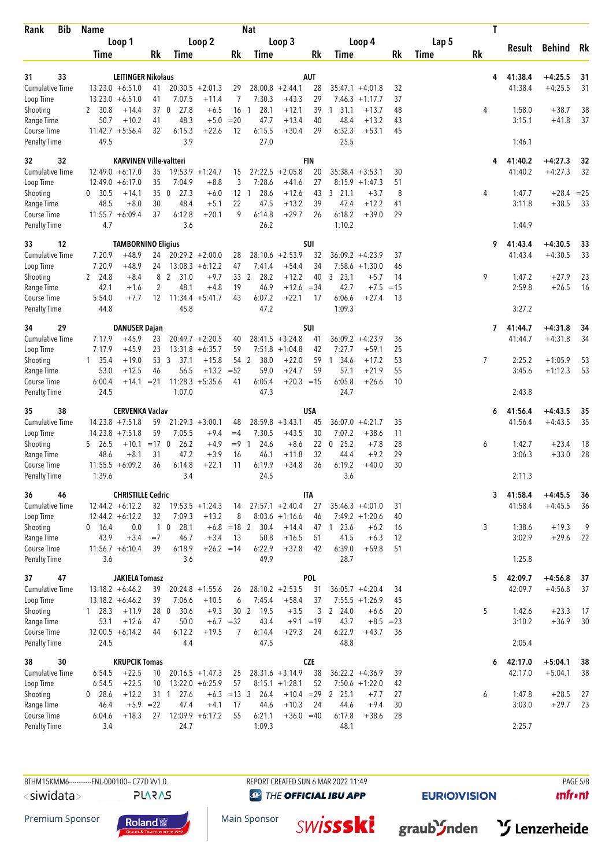| <b>Bib</b><br>Rank                  | <b>Name</b>                              |                                 |                 |                              |                               |                       | <b>Nat</b>     |                                        |                    |                                         |                    |       | T              |                    |                        |              |
|-------------------------------------|------------------------------------------|---------------------------------|-----------------|------------------------------|-------------------------------|-----------------------|----------------|----------------------------------------|--------------------|-----------------------------------------|--------------------|-------|----------------|--------------------|------------------------|--------------|
|                                     |                                          | Loop 1                          |                 |                              | Loop 2                        |                       |                | Loop 3                                 |                    | Loop 4                                  |                    | Lap 5 |                |                    | Result Behind          | Rk           |
|                                     | Time                                     |                                 | Rk              | Time                         |                               | Rk                    | Time           |                                        | Rk                 | Time                                    | Rk                 | Time  | <b>Rk</b>      |                    |                        |              |
| 33<br>31                            |                                          | <b>LEITINGER Nikolaus</b>       |                 |                              |                               |                       |                |                                        | AUT                |                                         |                    |       | 4              | 41:38.4            | $+4:25.5$              | 31           |
| <b>Cumulative Time</b>              | $13:23.0 + 6:51.0$                       |                                 | 41              |                              | $20:30.5 + 2:01.3$            | 29                    |                | $28:00.8 + 2:44.1$                     | 28                 | $35:47.1 + 4:01.8$                      | 32                 |       |                | 41:38.4            | $+4:25.5$              | 31           |
| Loop Time                           | $13:23.0 + 6:51.0$                       |                                 | 41              | 7:07.5                       | $+11.4$                       | $\overline{7}$        | 7:30.3         | $+43.3$                                | 29                 | $7:46.3 +1:17.7$                        | 37                 |       |                |                    |                        |              |
| Shooting                            | 2 30.8                                   | $+14.4$                         | 37 <sub>0</sub> | 27.8                         | $+6.5$                        | 16 <sub>1</sub>       | 28.1           | $+12.1$                                | 39                 | 31.1<br>$+13.7$<br>$\mathbf{1}$         | 48                 |       | 4              | 1:58.0             | $+38.7$                | 38           |
| Range Time                          | 50.7<br>$11:42.7 + 5:56.4$               | $+10.2$                         | 41              | 48.3                         | $+5.0$                        | $= 20$                | 47.7           | $+13.4$                                | 40                 | 48.4<br>$+13.2$                         | 43                 |       |                | 3:15.1             | $+41.8$                | 37           |
| Course Time<br><b>Penalty Time</b>  | 49.5                                     |                                 | 32              | 6:15.3<br>3.9                | $+22.6$                       | 12                    | 6:15.5<br>27.0 | $+30.4$                                | 29                 | 6:32.3<br>$+53.1$<br>25.5               | 45                 |       |                | 1:46.1             |                        |              |
| 32<br>32                            |                                          | <b>KARVINEN Ville-valtteri</b>  |                 |                              |                               |                       |                |                                        | <b>FIN</b>         |                                         |                    |       | 4              | 41:40.2            | $+4:27.3$              | 32           |
| <b>Cumulative Time</b>              | $12:49.0 + 6:17.0$                       |                                 | 35              |                              | $19:53.9 + 1:24.7$            | 15                    |                | $27:22.5 + 2:05.8$                     | 20                 | $35:38.4 + 3:53.1$                      | 30                 |       |                | 41:40.2            | $+4:27.3$              | 32           |
| Loop Time                           | $12:49.0 + 6:17.0$                       |                                 | 35              | 7:04.9                       | $+8.8$                        | 3                     | 7:28.6         | $+41.6$                                | 27                 | $8:15.9 + 1:47.3$                       | 51                 |       |                |                    |                        |              |
| Shooting                            | 0 30.5<br>48.5                           | $+14.1$<br>$+8.0$               | 35<br>30        | 27.3<br>$\mathbf 0$<br>48.4  | $+6.0$<br>$+5.1$              | 12 <sub>1</sub><br>22 | 28.6<br>47.5   | $+12.6$<br>$+13.2$                     | 43<br>39           | $3$ 21.1<br>$+3.7$<br>47.4<br>$+12.2$   | 8<br>41            |       | 4              | 1:47.7<br>3:11.8   | $+28.4$<br>$+38.5$     | $= 25$<br>33 |
| Range Time<br>Course Time           | $11:55.7 + 6:09.4$                       |                                 | 37              | 6:12.8                       | $+20.1$                       | 9                     | 6:14.8         | $+29.7$                                | 26                 | 6:18.2<br>$+39.0$                       | 29                 |       |                |                    |                        |              |
| <b>Penalty Time</b>                 | 4.7                                      |                                 |                 | 3.6                          |                               |                       | 26.2           |                                        |                    | 1:10.2                                  |                    |       |                | 1:44.9             |                        |              |
| 33<br>12                            |                                          | <b>TAMBORNINO Eligius</b>       |                 |                              |                               |                       |                |                                        | SUI                |                                         |                    |       | 9              | 41:43.4            | $+4:30.5$              | 33           |
| <b>Cumulative Time</b>              | 7:20.9                                   | $+48.9$                         | 24              |                              | $20:29.2 + 2:00.0$            | 28                    |                | $28:10.6 + 2:53.9$                     | 32                 | $36:09.2 + 4:23.9$                      | 37                 |       |                | 41:43.4            | $+4:30.5$              | 33           |
| Loop Time<br>Shooting               | 7:20.9<br>2 24.8                         | $+48.9$<br>$+8.4$               | 24<br>8         | $\overline{2}$<br>31.0       | $13:08.3 + 6:12.2$<br>$+9.7$  | 47<br>33 2            | 7:41.4<br>28.2 | $+54.4$<br>$+12.2$                     | 34<br>40           | $7:58.6 + 1:30.0$<br>3, 23.1            | 46<br>$+5.7$<br>14 |       | 9              | 1:47.2             | $+27.9$                | 23           |
| Range Time                          | 42.1                                     | $+1.6$                          | 2               | 48.1                         | $+4.8$                        | 19                    | 46.9           | $+12.6 = 34$                           |                    | 42.7                                    | $=15$<br>$+7.5$    |       |                | 2:59.8             | $+26.5$                | 16           |
| Course Time                         | 5:54.0                                   | $+7.7$                          | 12              | $11:34.4 + 5:41.7$           |                               | 43                    | 6:07.2         | $+22.1$                                | 17                 | 6:06.6<br>$+27.4$                       | 13                 |       |                |                    |                        |              |
| <b>Penalty Time</b>                 | 44.8                                     |                                 |                 | 45.8                         |                               |                       | 47.2           |                                        |                    | 1:09.3                                  |                    |       |                | 3:27.2             |                        |              |
| 29<br>34                            |                                          | <b>DANUSER Dajan</b>            |                 |                              |                               |                       |                |                                        | SUI                |                                         |                    |       | 7              | 41:44.7            | $+4:31.8$              | 34           |
| <b>Cumulative Time</b>              | 7:17.9                                   | $+45.9$                         | 23              |                              | $20:49.7 + 2:20.5$            | 40                    |                | $28:41.5 + 3:24.8$                     | 41                 | $36:09.2 + 4:23.9$                      | 36                 |       |                | 41:44.7            | $+4:31.8$              | 34           |
| Loop Time<br>Shooting               | 7:17.9<br>$1 \quad 35.4$                 | $+45.9$<br>$+19.0$              | 23<br>53 3      | 37.1                         | $13:31.8 + 6:35.7$<br>$+15.8$ | 59                    | 38.0<br>54 2   | $7:51.8 +1:04.8$<br>$+22.0$            | 42<br>59           | 7:27.7<br>$+59.1$<br>1 34.6<br>$+17.2$  | 25<br>53           |       | $\overline{7}$ | 2:25.2             | $+1:05.9$              | 53           |
| Range Time                          | 53.0                                     | $+12.5$                         | 46              | 56.5                         | $+13.2 = 52$                  |                       | 59.0           | $+24.7$                                | 59                 | 57.1<br>$+21.9$                         | 55                 |       |                | 3:45.6             | $+1:12.3$              | 53           |
| Course Time                         | 6:00.4                                   | $+14.1$                         | $= 21$          |                              | $11:28.3 + 5:35.6$            | 41                    | 6:05.4         | $+20.3 = 15$                           |                    | 6:05.8<br>$+26.6$                       | 10                 |       |                |                    |                        |              |
| <b>Penalty Time</b>                 | 24.5                                     |                                 |                 | 1:07.0                       |                               |                       | 47.3           |                                        |                    | 24.7                                    |                    |       |                | 2:43.8             |                        |              |
| 38<br>35                            |                                          | <b>CERVENKA Vaclav</b>          |                 |                              |                               |                       |                |                                        | <b>USA</b>         |                                         |                    |       | 6              | 41:56.4            | $+4:43.5$              | 35           |
| <b>Cumulative Time</b>              | $14:23.8 + 7:51.8$                       |                                 | 59              |                              | $21:29.3 + 3:00.1$            | 48                    |                | $28:59.8 + 3:43.1$                     | 45                 | $36:07.0 + 4:21.7$                      | 35                 |       |                | 41:56.4            | $+4:43.5$              | 35           |
| Loop Time<br>Shooting               | $14:23.8 + 7:51.8$<br>5 26.5             | $+10.1 = 170$                   | 59              | 7:05.5<br>26.2               | $+9.4$<br>$+4.9$              | $=4$<br>$= 9 \quad 1$ | 7:30.5<br>24.6 | $+43.5$<br>$+8.6$                      | 30<br>$22 \quad 0$ | 7:07.2<br>$+38.6$<br>25.2               | 11<br>$+7.8$<br>28 |       | 6              | 1:42.7             | $+23.4$                | 18           |
| Range Time                          | 48.6                                     | $+8.1$                          | 31              | 47.2                         | $+3.9$                        | 16                    | 46.1           | $+11.8$                                | 32                 | 44.4                                    | 29<br>$+9.2$       |       |                | 3:06.3             | $+33.0$                | 28           |
| Course Time                         | $11:55.5 + 6:09.2$                       |                                 | 36              | 6:14.8                       | $+22.1$                       | 11                    | 6:19.9         | $+34.8$                                | 36                 | 6:19.2<br>$+40.0$                       | 30                 |       |                |                    |                        |              |
| <b>Penalty Time</b>                 | 1:39.6                                   |                                 |                 | 3.4                          |                               |                       | 24.5           |                                        |                    | 3.6                                     |                    |       |                | 2:11.3             |                        |              |
| 46<br>36                            |                                          | <b>CHRISTILLE Cedric</b>        |                 |                              |                               |                       |                |                                        | ITA                |                                         |                    |       | 3              | 41:58.4            | $+4:45.5$              | 36           |
| <b>Cumulative Time</b><br>Loop Time | $12:44.2 + 6:12.2$<br>$12:44.2 + 6:12.2$ |                                 | 32<br>32        | $19:53.5 + 1:24.3$<br>7:09.3 | $+13.2$                       | 14<br>8               |                | $27:57.1 + 2:40.4$<br>$8:03.6 +1:16.6$ | 27<br>46           | $35:46.3 +4:01.0$<br>$7:49.2 +1:20.6$   | 31<br>40           |       |                | 41:58.4            | $+4:45.5$              | 36           |
| Shooting                            | $0$ 16.4                                 | 0.0                             |                 | $1\quad0$<br>28.1            |                               | $+6.8$ = 18 2         | 30.4           | $+14.4$                                |                    | 47 1 23.6                               | $+6.2$<br>16       |       | 3              | 1:38.6             | $+19.3$                | 9            |
| Range Time                          | 43.9                                     | $+3.4$                          | $=7$            | 46.7                         | $+3.4$                        | 13                    | 50.8           | $+16.5$                                | 51                 | 41.5                                    | $+6.3$<br>12       |       |                | 3:02.9             | $+29.6$                | 22           |
| Course Time                         | $11:56.7 + 6:10.4$                       |                                 | 39              | 6:18.9                       | $+26.2 = 14$                  |                       | 6:22.9         | $+37.8$                                | 42                 | 6:39.0<br>$+59.8$                       | 51                 |       |                |                    |                        |              |
| <b>Penalty Time</b>                 | 3.6                                      |                                 |                 | 3.6                          |                               |                       | 49.9           |                                        |                    | 28.7                                    |                    |       |                | 1:25.8             |                        |              |
| 47<br>37                            |                                          | <b>JAKIELA Tomasz</b>           |                 |                              |                               |                       |                |                                        | POL                |                                         |                    |       | 5              | 42:09.7            | $+4:56.8$              | 37           |
| <b>Cumulative Time</b><br>Loop Time | $13:18.2 + 6:46.2$<br>$13:18.2 + 6:46.2$ |                                 | 39<br>39        | 7:06.6                       | $20:24.8 + 1:55.6$<br>$+10.5$ | 26<br>6               | 7:45.4         | $28:10.2 + 2:53.5$<br>$+58.4$          | 31<br>37           | $36:05.7 + 4:20.4$<br>$7:55.5 + 1:26.9$ | 34<br>45           |       |                | 42:09.7            | $+4:56.8$              | 37           |
| Shooting                            | $1\quad 28.3$                            | $+11.9$                         | 28 0            | 30.6                         | $+9.3$                        | 30 <sub>2</sub>       | 19.5           | $+3.5$                                 | 3                  | 2 24.0                                  | $+6.6$<br>20       |       | 5              | 1:42.6             | $+23.3$                | 17           |
| Range Time                          | 53.1                                     | $+12.6$                         | 47              | 50.0                         | $+6.7 = 32$                   |                       | 43.4           | $+9.1 = 19$                            |                    | 43.7                                    | $+8.5 = 23$        |       |                | 3:10.2             | $+36.9$                | 30           |
| Course Time                         | $12:00.5 + 6:14.2$                       |                                 | 44              | 6:12.2                       | $+19.5$                       | 7                     | 6:14.4         | $+29.3$                                | 24                 | 6:22.9<br>$+43.7$                       | 36                 |       |                |                    |                        |              |
| <b>Penalty Time</b>                 | 24.5                                     |                                 |                 | 4.4                          |                               |                       | 47.5           |                                        |                    | 48.8                                    |                    |       |                | 2:05.4             |                        |              |
| 30<br>38<br><b>Cumulative Time</b>  | 6:54.5                                   | <b>KRUPCIK Tomas</b><br>$+22.5$ | 10              |                              | $20:16.5 + 1:47.3$            | 25                    |                | $28:31.6 + 3:14.9$                     | <b>CZE</b><br>38   | $36:22.2 + 4:36.9$                      | 39                 |       | 6              | 42:17.0<br>42:17.0 | $+5:04.1$<br>$+5:04.1$ | 38<br>38     |
| Loop Time                           | 6:54.5                                   | $+22.5$                         | 10              |                              | $13:22.0 + 6:25.9$            | 57                    |                | $8:15.1 + 1:28.1$                      | 52                 | $7:50.6 + 1:22.0$                       | 42                 |       |                |                    |                        |              |
| Shooting                            | $0$ 28.6                                 | $+12.2$                         | 31 1            | 27.6                         |                               | $+6.3 = 13.3$         | 26.4           |                                        |                    | $+10.4$ = 29 2 25.1                     | $+7.7$<br>27       |       | 6              | 1:47.8             | $+28.5$                | 27           |
| Range Time                          | 46.4                                     | $+5.9$ =22                      |                 | 47.4                         | $+4.1$                        | 17                    | 44.6           | $+10.3$                                | 24                 | 44.6                                    | $+9.4$<br>30       |       |                | 3:03.0             | $+29.7$                | 23           |
| Course Time                         | 6:04.6                                   | $+18.3$                         | 27              |                              | $12:09.9 + 6:17.2$            | 55                    | 6:21.1         | $+36.0 = 40$                           |                    | 6:17.8<br>$+38.6$                       | 28                 |       |                |                    |                        |              |
| Penalty Time                        | 3.4                                      |                                 |                 | 24.7                         |                               |                       | 1:09.3         |                                        |                    | 48.1                                    |                    |       |                | 2:25.7             |                        |              |

**PLARAS** 

**@** THE OFFICIAL IBU APP

**EURIO)VISION** 

 $unfront$ 







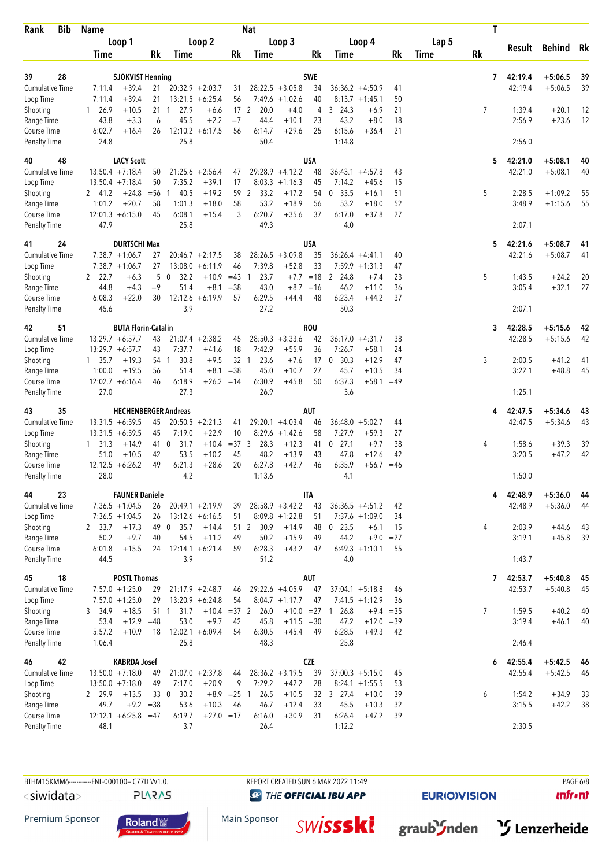| Rank                                | <b>Bib</b> | <b>Name</b>                              |                                    |              |                             |                                          |                     | <b>Nat</b>              |                                       |                  |                                         |              |          |       | T              |                    |                        |          |
|-------------------------------------|------------|------------------------------------------|------------------------------------|--------------|-----------------------------|------------------------------------------|---------------------|-------------------------|---------------------------------------|------------------|-----------------------------------------|--------------|----------|-------|----------------|--------------------|------------------------|----------|
|                                     |            | Loop 1                                   |                                    |              |                             | Loop 2                                   |                     |                         | Loop 3                                |                  | Loop 4                                  |              |          | Lap 5 |                |                    | Result Behind Rk       |          |
|                                     |            | Time                                     |                                    | Rk           | Time                        |                                          | Rk                  | Time                    |                                       | Rk               | Time                                    |              | Rk       | Time  | Rk             |                    |                        |          |
|                                     |            |                                          |                                    |              |                             |                                          |                     |                         |                                       |                  |                                         |              |          |       |                |                    |                        |          |
| 39<br><b>Cumulative Time</b>        | 28         | 7:11.4                                   | <b>SJOKVIST Henning</b><br>$+39.4$ | 21           |                             | $20:32.9 + 2:03.7$                       | 31                  |                         | $28:22.5 + 3:05.8$                    | <b>SWE</b><br>34 | $36:36.2 + 4:50.9$                      |              | 41       |       | 7              | 42:19.4<br>42:19.4 | $+5:06.5$<br>$+5:06.5$ | 39<br>39 |
| Loop Time                           |            | 7:11.4                                   | $+39.4$                            | 21           |                             | $13:21.5 + 6:25.4$                       | 56                  |                         | $7:49.6 +1:02.6$                      | 40               | $8:13.7 +1:45.1$                        |              | 50       |       |                |                    |                        |          |
| Shooting                            |            | $1 \t26.9$                               | $+10.5$                            | $21 \quad 1$ | 27.9                        | $+6.6$                                   |                     | 17 <sup>2</sup><br>20.0 | $+4.0$                                | $\overline{4}$   | 3, 24.3                                 | $+6.9$       | 21       |       | 7              | 1:39.4             | $+20.1$                | 12       |
| Range Time                          |            | 43.8                                     | $+3.3$                             | 6            | 45.5                        | $+2.2$                                   | $=7$                | 44.4                    | $+10.1$                               | 23               | 43.2                                    | $+8.0$       | 18       |       |                | 2:56.9             | $+23.6$                | 12       |
| Course Time                         |            | 6:02.7<br>24.8                           | $+16.4$                            | 26           | 25.8                        | $12:10.2 + 6:17.5$                       | 56                  | 6:14.7<br>50.4          | $+29.6$                               | 25               | 6:15.6<br>1:14.8                        | $+36.4$      | 21       |       |                | 2:56.0             |                        |          |
| <b>Penalty Time</b>                 |            |                                          |                                    |              |                             |                                          |                     |                         |                                       |                  |                                         |              |          |       |                |                    |                        |          |
| 40                                  | 48         |                                          | <b>LACY Scott</b>                  |              |                             |                                          |                     |                         |                                       | <b>USA</b>       |                                         |              |          |       | 5              | 42:21.0            | $+5:08.1$              | 40       |
| <b>Cumulative Time</b>              |            | $13:50.4 +7:18.4$<br>$13:50.4 +7:18.4$   |                                    | 50<br>50     | 7:35.2                      | $21:25.6 + 2:56.4$<br>$+39.1$            | 47<br>17            |                         | $29:28.9 +4:12.2$<br>$8:03.3 +1:16.3$ | 48               | $36:43.1 + 4:57.8$<br>7:14.2<br>$+45.6$ |              | 43       |       |                | 42:21.0            | $+5:08.1$              | 40       |
| Loop Time<br>Shooting               |            | 2 41.2                                   | $+24.8$                            | $=$ 56       | 40.5<br>1                   | $+19.2$                                  | 59                  | 33.2<br>$\mathbf{2}$    | $+17.2$                               | 45<br>54         | $0$ 33.5<br>$+16.1$                     |              | 15<br>51 |       | 5              | 2:28.5             | $+1:09.2$              | 55       |
| Range Time                          |            | 1:01.2                                   | $+20.7$                            | 58           | 1:01.3                      | $+18.0$                                  | 58                  | 53.2                    | $+18.9$                               | 56               | 53.2                                    | $+18.0$      | 52       |       |                | 3:48.9             | $+1:15.6$              | 55       |
| Course Time                         |            | $12:01.3 + 6:15.0$                       |                                    | 45           | 6:08.1                      | $+15.4$                                  | 3                   | 6:20.7                  | $+35.6$                               | 37               | 6:17.0                                  | $+37.8$      | 27       |       |                |                    |                        |          |
| <b>Penalty Time</b>                 |            | 47.9                                     |                                    |              | 25.8                        |                                          |                     | 49.3                    |                                       |                  | 4.0                                     |              |          |       |                | 2:07.1             |                        |          |
| 41                                  | 24         |                                          | <b>DURTSCHI Max</b>                |              |                             |                                          |                     |                         |                                       | USA              |                                         |              |          |       | 5              | 42:21.6            | $+5:08.7$              | 41       |
| <b>Cumulative Time</b>              |            | $7:38.7 +1:06.7$                         |                                    | 27           |                             | $20:46.7 + 2:17.5$                       | 38                  |                         | $28:26.5 + 3:09.8$                    | 35               | $36:26.4 +4:41.1$                       |              | 40       |       |                | 42:21.6            | $+5:08.7$              | 41       |
| Loop Time                           |            | $7:38.7 +1:06.7$                         |                                    | 27           |                             | $13:08.0 + 6:11.9$                       | 46                  | 7:39.8                  | $+52.8$                               | 33               | $7:59.9 + 1:31.3$                       |              | 47       |       |                |                    |                        |          |
| Shooting                            |            | 22.7                                     | $+6.3$                             | 5            | $\overline{0}$<br>32.2      | $+10.9$                                  | $=43$               | 23.7<br>-1              |                                       |                  | $+7.7$ = 18 2 24.8                      | $+7.4$       | 23       |       | 5              | 1:43.5             | $+24.2$                | 20       |
| Range Time<br>Course Time           |            | 44.8<br>6:08.3                           | $+4.3$<br>$+22.0$                  | $=9$<br>30   | 51.4                        | $+8.1$<br>$12:12.6 + 6:19.9$             | $= 38$<br>57        | 43.0<br>6:29.5          | $+8.7$<br>$+44.4$                     | $=16$<br>48      | 46.2<br>$+11.0$<br>6:23.4<br>$+44.2$    |              | 36<br>37 |       |                | 3:05.4             | $+32.1$                | 27       |
| <b>Penalty Time</b>                 |            | 45.6                                     |                                    |              | 3.9                         |                                          |                     | 27.2                    |                                       |                  | 50.3                                    |              |          |       |                | 2:07.1             |                        |          |
|                                     |            |                                          |                                    |              |                             |                                          |                     |                         |                                       |                  |                                         |              |          |       |                |                    |                        |          |
| 42                                  | 51         |                                          | <b>BUTA Florin-Catalin</b>         |              |                             |                                          |                     |                         |                                       | <b>ROU</b>       |                                         |              |          |       | 3.             | 42:28.5            | $+5:15.6$              | 42       |
| <b>Cumulative Time</b><br>Loop Time |            | $13:29.7 + 6:57.7$<br>$13:29.7 + 6:57.7$ |                                    | 43<br>43     | 7:37.7                      | $21:07.4 +2:38.2$<br>$+41.6$             | 45<br>18            | 7:42.9                  | $28:50.3 + 3:33.6$<br>$+55.9$         | 42<br>36         | $36:17.0 + 4:31.7$<br>7:26.7<br>$+58.1$ |              | 38<br>24 |       |                | 42:28.5            | $+5:15.6$              | 42       |
| Shooting                            |            | $1 \quad 35.7$                           | $+19.3$                            | 54 1         | 30.8                        | $+9.5$                                   | 32 <sub>1</sub>     | 23.6                    | $+7.6$                                | 17               | 0, 30.3<br>$+12.9$                      |              | 47       |       | 3              | 2:00.5             | $+41.2$                | 41       |
| Range Time                          |            | 1:00.0                                   | $+19.5$                            | 56           | 51.4                        | $+8.1$                                   | $=38$               | 45.0                    | $+10.7$                               | 27               | 45.7                                    | $+10.5$      | 34       |       |                | 3:22.1             | $+48.8$                | 45       |
| Course Time                         |            | $12:02.7 + 6:16.4$                       |                                    | 46           | 6:18.9                      | $+26.2 = 14$                             |                     | 6:30.9                  | $+45.8$                               | 50               | 6:37.3                                  | $+58.1$      | $=49$    |       |                |                    |                        |          |
| <b>Penalty Time</b>                 |            | 27.0                                     |                                    |              | 27.3                        |                                          |                     | 26.9                    |                                       |                  | 3.6                                     |              |          |       |                | 1:25.1             |                        |          |
| 43                                  | 35         |                                          |                                    |              | <b>HECHENBERGER Andreas</b> |                                          |                     |                         |                                       | <b>AUT</b>       |                                         |              |          |       | 4              | 42:47.5            | $+5:34.6$              | 43       |
| <b>Cumulative Time</b>              |            | $13:31.5 + 6:59.5$                       |                                    | 45           |                             | $20:50.5 + 2:21.3$                       | 41                  |                         | $29:20.1 +4:03.4$                     | 46               | $36:48.0 + 5:02.7$                      |              | 44       |       |                | 42:47.5            | $+5:34.6$              | 43       |
| Loop Time                           |            | $13:31.5 + 6:59.5$                       |                                    | 45           | 7:19.0                      | $+22.9$                                  | 10                  |                         | $8:29.6 +1:42.6$                      | 58               | 7:27.9<br>$+59.3$                       |              | 27       |       |                |                    |                        |          |
| Shooting<br>Range Time              |            | $1 \quad 31.3$<br>51.0                   | $+14.9$<br>$+10.5$                 | 41 0<br>42   | 31.7<br>53.5                | $+10.4$<br>$+10.2$                       | $=37.3$<br>45       | 28.3<br>48.2            | $+12.3$<br>$+13.9$                    | 41<br>43         | $0$ 27.1<br>47.8<br>$+12.6$             | $+9.7$       | 38<br>42 |       | 4              | 1:58.6<br>3:20.5   | $+39.3$<br>$+47.2$     | 39<br>42 |
| Course Time                         |            | $12:12.5 + 6:26.2$                       |                                    | 49           | 6:21.3                      | $+28.6$                                  | 20                  | 6:27.8                  | $+42.7$                               | 46               | 6:35.9                                  | $+56.7$      | $=46$    |       |                |                    |                        |          |
| <b>Penalty Time</b>                 |            | 28.0                                     |                                    |              | 4.2                         |                                          |                     | 1:13.6                  |                                       |                  | 4.1                                     |              |          |       |                | 1:50.0             |                        |          |
| 44                                  | 23         |                                          | <b>FAUNER Daniele</b>              |              |                             |                                          |                     |                         |                                       | <b>ITA</b>       |                                         |              |          |       | 4              | 42:48.9            | $+5:36.0$              | 44       |
| <b>Cumulative Time</b>              |            | $7:36.5 +1:04.5$                         |                                    | 26           |                             | $20:49.1 + 2:19.9$                       | 39                  |                         | $28:58.9 + 3:42.2$                    | 43               | $36:36.5 +4:51.2$                       |              | 42       |       |                | 42:48.9            | $+5:36.0$              | 44       |
| Loop Time                           |            | $7:36.5 +1:04.5$                         |                                    | 26           |                             | $13:12.6 + 6:16.5$                       | 51                  |                         | $8:09.8 +1:22.8$                      | 51               | $7:37.6 +1:09.0$                        |              | 34       |       |                |                    |                        |          |
| Shooting                            |            | 2 33.7                                   | $+17.3$                            | 49 0         | 35.7                        | $+14.4$                                  |                     | 51 2<br>30.9            | $+14.9$                               | 48               | $0$ 23.5                                | $+6.1$       | 15       |       | 4              | 2:03.9             | $+44.6$                | 43       |
| Range Time                          |            | 50.2                                     | $+9.7$                             | 40           | 54.5                        | $+11.2$                                  | 49                  | 50.2                    | $+15.9$                               | 49               | 44.2                                    | $+9.0$       | $= 27$   |       |                | 3:19.1             | $+45.8$                | 39       |
| Course Time<br><b>Penalty Time</b>  |            | 6:01.8<br>44.5                           | $+15.5$                            | 24           | 3.9                         | $12:14.1 + 6:21.4$                       | 59                  | 6:28.3<br>51.2          | $+43.2$                               | 47               | $6:49.3 +1:10.1$<br>4.0                 |              | 55       |       |                | 1:43.7             |                        |          |
|                                     |            |                                          |                                    |              |                             |                                          |                     |                         |                                       |                  |                                         |              |          |       |                |                    |                        |          |
| 45                                  | 18         |                                          | <b>POSTL Thomas</b>                |              |                             |                                          |                     |                         |                                       | <b>AUT</b>       |                                         |              |          |       | 7              | 42:53.7            | $+5:40.8$              | 45       |
| Cumulative Time<br>Loop Time        |            | $7:57.0 +1:25.0$<br>$7:57.0 +1:25.0$     |                                    | 29<br>29     |                             | $21:17.9 + 2:48.7$<br>$13:20.9 + 6:24.8$ | 46<br>54            |                         | 29:22.6 +4:05.9<br>$8:04.7 +1:17.7$   | 47<br>47         | $37:04.1 + 5:18.8$<br>$7:41.5 +1:12.9$  |              | 46<br>36 |       |                | 42:53.7            | $+5:40.8$              | 45       |
| Shooting                            |            | 3 34.9                                   | $+18.5$                            | 51 1         | 31.7                        | $+10.4 = 37$ 2                           |                     | 26.0                    | $+10.0 = 27$                          |                  | 26.8<br>$\overline{1}$                  | $+9.4 = 35$  |          |       | $\overline{7}$ | 1:59.5             | $+40.2$                | 40       |
| Range Time                          |            | 53.4                                     | $+12.9$                            | $=48$        | 53.0                        | $+9.7$                                   | 42                  | 45.8                    | $+11.5 = 30$                          |                  | 47.2                                    | $+12.0 = 39$ |          |       |                | 3:19.4             | $+46.1$                | 40       |
| Course Time                         |            | 5:57.2                                   | $+10.9$                            | 18           |                             | $12:02.1 + 6:09.4$                       | 54                  | 6:30.5                  | $+45.4$                               | 49               | 6:28.5<br>$+49.3$                       |              | 42       |       |                |                    |                        |          |
| <b>Penalty Time</b>                 |            | 1:06.4                                   |                                    |              | 25.8                        |                                          |                     | 48.3                    |                                       |                  | 25.8                                    |              |          |       |                | 2:46.4             |                        |          |
| 46                                  | 42         |                                          | <b>KABRDA Josef</b>                |              |                             |                                          |                     |                         |                                       | <b>CZE</b>       |                                         |              |          |       | 6              | 42:55.4            | $+5:42.5$              | 46       |
| <b>Cumulative Time</b>              |            | $13:50.0 +7:18.0$                        |                                    | 49           |                             | $21:07.0 + 2:37.8$                       | 44                  |                         | $28:36.2 + 3:19.5$                    | 39               | $37:00.3 + 5:15.0$                      |              | 45       |       |                | 42:55.4            | $+5:42.5$              | 46       |
| Loop Time                           |            | $13:50.0 +7:18.0$                        |                                    | 49           | 7:17.0                      | $+20.9$                                  | 9                   | 7:29.2                  | $+42.2$                               | 28               | $8:24.1 + 1:55.5$                       |              | 53       |       |                |                    |                        |          |
| Shooting<br>Range Time              |            | 2 29.9<br>49.7                           | $+13.5$<br>$+9.2 = 38$             | 33 0         | 30.2<br>53.6                | $+10.3$                                  | $+8.9$ = 25 1<br>46 | 26.5<br>46.7            | $+10.5$<br>$+12.4$                    | 33               | 32 3 27.4<br>$+10.0$<br>45.5<br>$+10.3$ |              | 39<br>32 |       | 6              | 1:54.2<br>3:15.5   | $+34.9$<br>$+42.2$     | 33<br>38 |
| Course Time                         |            | $12:12.1 + 6:25.8 = 47$                  |                                    |              | 6:19.7                      | $+27.0 = 17$                             |                     | 6:16.0                  | $+30.9$                               | 31               | 6:26.4<br>$+47.2$                       |              | 39       |       |                |                    |                        |          |
| <b>Penalty Time</b>                 |            | 48.1                                     |                                    |              | 3.7                         |                                          |                     | 26.4                    |                                       |                  | 1:12.2                                  |              |          |       |                | 2:30.5             |                        |          |

**@** THE OFFICIAL IBU APP

**EURIO)VISION** 

 $unfront$ 







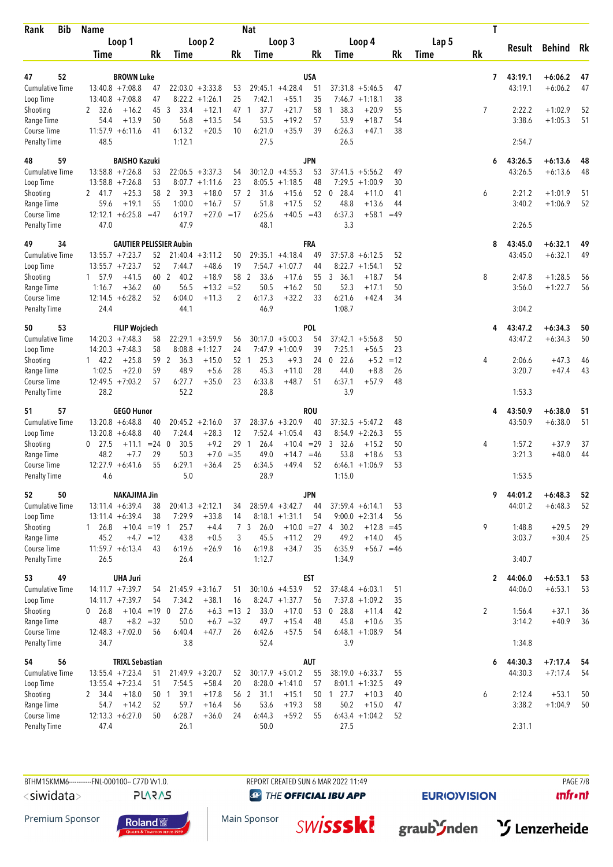| Rank<br><b>Bib</b>                  | <b>Name</b>                                    |                                |                                         |                    | <b>Nat</b>           |                                        |            |                                                       |              |       | T         |                  |                    |          |
|-------------------------------------|------------------------------------------------|--------------------------------|-----------------------------------------|--------------------|----------------------|----------------------------------------|------------|-------------------------------------------------------|--------------|-------|-----------|------------------|--------------------|----------|
|                                     | Loop 1                                         |                                | Loop 2                                  |                    |                      | Loop 3                                 |            | Loop 4                                                |              | Lap 5 |           |                  | Result Behind      | Rk       |
|                                     | Time                                           | Rk                             | Time                                    | Rk                 | Time                 |                                        | Rk         | Time                                                  | Rk           | Time  | <b>Rk</b> |                  |                    |          |
| 52<br>47                            | <b>BROWN Luke</b>                              |                                |                                         |                    |                      |                                        | <b>USA</b> |                                                       |              |       | 7         | 43:19.1          | $+6:06.2$          | 47       |
| Cumulative Time                     | $13:40.8 + 7:08.8$                             | 47                             | $22:03.0 + 3:33.8$                      | 53                 |                      | $29:45.1 +4:28.4$                      | 51         | $37:31.8 + 5:46.5$                                    | 47           |       |           | 43:19.1          | $+6:06.2$          | 47       |
| Loop Time                           | $13:40.8 + 7:08.8$                             | 47                             | $8:22.2 +1:26.1$                        | 25                 | 7:42.1               | $+55.1$                                | 35         | $7:46.7 +1:18.1$                                      | 38           |       |           |                  |                    |          |
| Shooting                            | $+16.2$<br>2 32.6                              | 45<br>3                        | 33.4<br>$+12.1$                         | 47 1               | 37.7                 | $+21.7$                                | 58         | 38.3<br>$+20.9$<br>$\mathbf{1}$                       | 55           |       | 7         | 2:22.2           | $+1:02.9$          | 52       |
| Range Time<br>Course Time           | $+13.9$<br>54.4<br>$11:57.9 + 6:11.6$          | 50<br>41                       | 56.8<br>$+13.5$<br>6:13.2<br>$+20.5$    | 54<br>10           | 53.5<br>6:21.0       | $+19.2$<br>$+35.9$                     | 57<br>39   | 53.9<br>$+18.7$<br>6:26.3<br>$+47.1$                  | 54<br>38     |       |           | 3:38.6           | $+1:05.3$          | 51       |
| <b>Penalty Time</b>                 | 48.5                                           |                                | 1:12.1                                  |                    | 27.5                 |                                        |            | 26.5                                                  |              |       |           | 2:54.7           |                    |          |
| 59<br>48                            | <b>BAISHO Kazuki</b>                           |                                |                                         |                    |                      |                                        | <b>JPN</b> |                                                       |              |       | 6         | 43:26.5          | $+6:13.6$          | 48       |
| <b>Cumulative Time</b>              | $13:58.8 + 7:26.8$                             | 53                             | $22:06.5 + 3:37.3$                      | 54                 |                      | $30:12.0 +4:55.3$                      | 53         | $37:41.5 + 5:56.2$                                    | 49           |       |           | 43:26.5          | $+6:13.6$          | 48       |
| Loop Time                           | $13:58.8 + 7:26.8$                             | 53                             | $8:07.7 +1:11.6$                        | 23                 |                      | $8:05.5 +1:18.5$                       | 48         | 7:29.5<br>$+1:00.9$                                   | 30           |       |           |                  |                    |          |
| Shooting                            | $+25.3$<br>2 41.7                              | 58 2                           | 39.3<br>$+18.0$                         |                    | 57 2<br>31.6         | $+15.6$                                | 52         | $0$ 28.4<br>$+11.0$                                   | 41           |       | 6         | 2:21.2           | $+1:01.9$          | 51       |
| Range Time<br>Course Time           | $+19.1$<br>59.6<br>$12:12.1 + 6:25.8 = 47$     | 55                             | 1:00.0<br>$+16.7$<br>6:19.7             | 57<br>$+27.0 = 17$ | 51.8<br>6:25.6       | $+17.5$<br>$+40.5 = 43$                | 52         | 48.8<br>$+13.6$<br>6:37.3<br>$+58.1$                  | 44<br>$=49$  |       |           | 3:40.2           | $+1:06.9$          | 52       |
| <b>Penalty Time</b>                 | 47.0                                           |                                | 47.9                                    |                    | 48.1                 |                                        |            | 3.3                                                   |              |       |           | 2:26.5           |                    |          |
| 34<br>49                            |                                                | <b>GAUTIER PELISSIER Aubin</b> |                                         |                    |                      |                                        | <b>FRA</b> |                                                       |              |       | 8         | 43:45.0          | $+6:32.1$          | 49       |
| <b>Cumulative Time</b>              | $13:55.7 + 7:23.7$                             | 52                             | $21:40.4 + 3:11.2$                      | 50                 |                      | $29:35.1 +4:18.4$                      | 49         | $37:57.8 + 6:12.5$                                    | 52           |       |           | 43:45.0          | $+6:32.1$          | 49       |
| Loop Time                           | $13:55.7 + 7:23.7$                             | 52                             | 7:44.7<br>$+48.6$                       | 19                 |                      | $7:54.7 +1:07.7$                       | 44         | $8:22.7 +1:54.1$                                      | 52           |       |           |                  |                    |          |
| Shooting                            | 1 57.9<br>$+41.5$                              | 60 2                           | 40.2<br>$+18.9$<br>$+13.2 = 52$         |                    | 58 2<br>33.6<br>50.5 | $+17.6$                                | 55         | 3, 36.1<br>$+18.7$<br>52.3                            | 54           |       | 8         | 2:47.8           | $+1:28.5$          | 56       |
| Range Time<br>Course Time           | 1:16.7<br>$+36.2$<br>$12:14.5 + 6:28.2$        | 60<br>52                       | 56.5<br>6:04.0<br>$+11.3$               | 2                  | 6:17.3               | $+16.2$<br>$+32.2$                     | 50<br>33   | $+17.1$<br>6:21.6<br>$+42.4$                          | 50<br>34     |       |           | 3:56.0           | $+1:22.7$          | 56       |
| <b>Penalty Time</b>                 | 24.4                                           |                                | 44.1                                    |                    | 46.9                 |                                        |            | 1:08.7                                                |              |       |           | 3:04.2           |                    |          |
| 53<br>50                            | <b>FILIP Wojciech</b>                          |                                |                                         |                    |                      |                                        | <b>POL</b> |                                                       |              |       | 4         | 43:47.2          | $+6:34.3$          | 50       |
| <b>Cumulative Time</b>              | $14:20.3 +7:48.3$                              | 58                             | $22:29.1 + 3:59.9$                      | 56                 |                      | $30:17.0 + 5:00.3$                     | 54         | $37:42.1 + 5:56.8$                                    | 50           |       |           | 43:47.2          | $+6:34.3$          | 50       |
| Loop Time                           | $14:20.3 +7:48.3$                              | 58                             | $8:08.8 +1:12.7$                        | 24                 |                      | $7:47.9 +1:00.9$                       | 39         | 7:25.1<br>$+56.5$                                     | 23           |       |           |                  |                    |          |
| Shooting<br>Range Time              | $+25.8$<br>$1 \quad 42.2$<br>$+22.0$<br>1:02.5 | 59 2<br>59                     | 36.3<br>$+15.0$<br>48.9<br>$+5.6$       | 28                 | 25.3<br>52 1<br>45.3 | $+9.3$<br>$+11.0$                      | 24<br>28   | $0$ 22.6<br>$+5.2$<br>44.0<br>$+8.8$                  | $=12$<br>26  |       | 4         | 2:06.6<br>3:20.7 | $+47.3$<br>$+47.4$ | 46<br>43 |
| Course Time                         | $12:49.5 +7:03.2$                              | 57                             | 6:27.7<br>$+35.0$                       | 23                 | 6:33.8               | $+48.7$                                | 51         | 6:37.1<br>$+57.9$                                     | 48           |       |           |                  |                    |          |
| <b>Penalty Time</b>                 | 28.2                                           |                                | 52.2                                    |                    | 28.8                 |                                        |            | 3.9                                                   |              |       |           | 1:53.3           |                    |          |
| 57<br>51                            | <b>GEGO Hunor</b>                              |                                |                                         |                    |                      |                                        | <b>ROU</b> |                                                       |              |       | 4         | 43:50.9          | $+6:38.0$          | 51       |
| <b>Cumulative Time</b>              | $13:20.8 + 6:48.8$                             | 40                             | $20:45.2 + 2:16.0$                      | 37                 |                      | $28:37.6 + 3:20.9$                     | 40         | $37:32.5 + 5:47.2$                                    | 48           |       |           | 43:50.9          | $+6:38.0$          | 51       |
| Loop Time                           | $13:20.8 + 6:48.8$<br>$0$ 27.5<br>$+11.1$      | 40<br>$= 24 \ 0$               | 7:24.4<br>$+28.3$<br>$+9.2$<br>30.5     | 12                 | 29 1<br>26.4         | $7:52.4$ +1:05.4<br>$+10.4 = 29$       | 43         | $8:54.9 +2:26.3$<br>$\overline{3}$<br>32.6<br>$+15.2$ | 55<br>50     |       | 4         | 1:57.2           | $+37.9$            | 37       |
| Shooting<br>Range Time              | 48.2<br>$+7.7$                                 | 29                             | 50.3<br>$+7.0$                          | $= 35$             | 49.0                 | $+14.7 = 46$                           |            | 53.8<br>$+18.6$                                       | 53           |       |           | 3:21.3           | $+48.0$            | 44       |
| Course Time                         | $12:27.9 + 6:41.6$                             | 55                             | 6:29.1<br>$+36.4$                       | 25                 | 6:34.5               | $+49.4$                                | 52         | $6:46.1 + 1:06.9$                                     | 53           |       |           |                  |                    |          |
| <b>Penalty Time</b>                 | 4.6                                            |                                | 5.0                                     |                    | 28.9                 |                                        |            | 1:15.0                                                |              |       |           | 1:53.5           |                    |          |
| 52<br>50                            | <b>NAKAJIMA Jin</b>                            |                                |                                         |                    |                      |                                        | <b>JPN</b> |                                                       |              |       | 9         | 44:01.2          | $+6:48.3$          | 52       |
| Cumulative Time                     | $13:11.4 + 6:39.4$                             | 38                             | $20:41.3 +2:12.1$                       | 34                 |                      | $28:59.4 + 3:42.7$                     | 44         | $37:59.4 + 6:14.1$                                    | 53           |       |           | 44:01.2          | $+6:48.3$          | 52       |
| Loop Time<br>Shooting               | $13:11.4 + 6:39.4$<br>1 26.8                   | 38<br>$+10.4 = 19$ 1           | 7:29.9<br>$+33.8$<br>25.7<br>$+4.4$     | 14                 | 7 3<br>26.0          | $8:18.1 + 1:31.1$                      | 54         | $9:00.0 + 2:31.4$<br>$+10.0 = 27$ 4 30.2<br>$+12.8$   | 56<br>$=45$  |       | 9         | 1:48.8           | $+29.5$            | 29       |
| Range Time                          | 45.2<br>$+4.7 = 12$                            |                                | 43.8<br>$+0.5$                          | 3                  | 45.5                 | $+11.2$                                | 29         | 49.2<br>$+14.0$                                       | 45           |       |           | 3:03.7           | $+30.4$            | 25       |
| Course Time                         | $11:59.7 + 6:13.4$                             | 43                             | 6:19.6<br>$+26.9$                       | 16                 | 6:19.8               | $+34.7$                                | 35         | 6:35.9                                                | $+56.7 = 46$ |       |           |                  |                    |          |
| Penalty Time                        | 26.5                                           |                                | 26.4                                    |                    | 1:12.7               |                                        |            | 1:34.9                                                |              |       |           | 3:40.7           |                    |          |
| 49<br>53                            | <b>UHA Juri</b>                                |                                |                                         |                    |                      |                                        | <b>EST</b> |                                                       |              |       | 2         | 44:06.0          | $+6:53.1$          | 53       |
| Cumulative Time<br>Loop Time        | $14:11.7 + 7:39.7$<br>$14:11.7 + 7:39.7$       | 54<br>54                       | $21:45.9 + 3:16.7$<br>7:34.2<br>$+38.1$ | 51<br>16           |                      | $30:10.6 + 4:53.9$<br>$8:24.7 +1:37.7$ | 52<br>56   | $37:48.4 + 6:03.1$<br>$7:37.8 +1:09.2$                | 51<br>35     |       |           | 44:06.0          | $+6:53.1$          | 53       |
| Shooting                            | $0$ 26.8                                       | $+10.4 = 19$ 0                 | 27.6<br>$+6.3$                          | $=13$ 2            | 33.0                 | $+17.0$                                | 53         | $0$ 28.8<br>$+11.4$                                   | 42           |       | 2         | 1:56.4           | $+37.1$            | 36       |
| Range Time                          | $+8.2 = 32$<br>48.7                            |                                | 50.0                                    | $+6.7 = 32$        | 49.7                 | $+15.4$                                | 48         | 45.8<br>$+10.6$                                       | 35           |       |           | 3:14.2           | $+40.9$            | 36       |
| Course Time                         | $12:48.3 +7:02.0$                              | 56                             | 6:40.4<br>$+47.7$                       | 26                 | 6:42.6               | $+57.5$                                | 54         | $6:48.1 + 1:08.9$                                     | 54           |       |           |                  |                    |          |
| <b>Penalty Time</b>                 | 34.7                                           |                                | 3.8                                     |                    | 52.4                 |                                        |            | 3.9                                                   |              |       |           | 1:34.8           |                    |          |
| 56<br>54                            | <b>TRIXL Sebastian</b>                         |                                |                                         |                    |                      |                                        | <b>AUT</b> |                                                       |              |       | 6         | 44:30.3          | $+7:17.4$          | 54       |
| <b>Cumulative Time</b><br>Loop Time | $13:55.4 +7:23.4$<br>$13:55.4$ +7:23.4         | 51<br>51                       | $21:49.9 + 3:20.7$<br>7:54.5<br>$+58.4$ | 52<br>20           |                      | $30:17.9 + 5:01.2$<br>$8:28.0 +1:41.0$ | 55<br>57   | $38:19.0 + 6:33.7$<br>$8:01.1 + 1:32.5$               | 55<br>49     |       |           | 44:30.3          | $+7:17.4$          | 54       |
| Shooting                            | $+18.0$<br>2 34.4                              | 50 1                           | 39.1<br>$+17.8$                         |                    | 56 2 31.1            | $+15.1$                                |            | 50 1 27.7<br>$+10.3$                                  | 40           |       | 6         | 2:12.4           | $+53.1$            | 50       |
| Range Time                          | $+14.2$<br>54.7                                | 52                             | 59.7<br>$+16.4$                         | 56                 | 53.6                 | $+19.3$                                | 58         | 50.2<br>$+15.0$                                       | 47           |       |           | 3:38.2           | $+1:04.9$          | 50       |
| Course Time                         | $12:13.3 + 6:27.0$                             | 50                             | 6:28.7<br>$+36.0$                       | 24                 | 6:44.3               | $+59.2$                                | 55         | $6:43.4 +1:04.2$                                      | 52           |       |           |                  |                    |          |
| Penalty Time                        | 47.4                                           |                                | 26.1                                    |                    | 50.0                 |                                        |            | 27.5                                                  |              |       |           | 2:31.1           |                    |          |

**PLARAS** 

**@** THE OFFICIAL IBU APP

Main Sponsor

**EURIO)VISION** 

 $unfront$